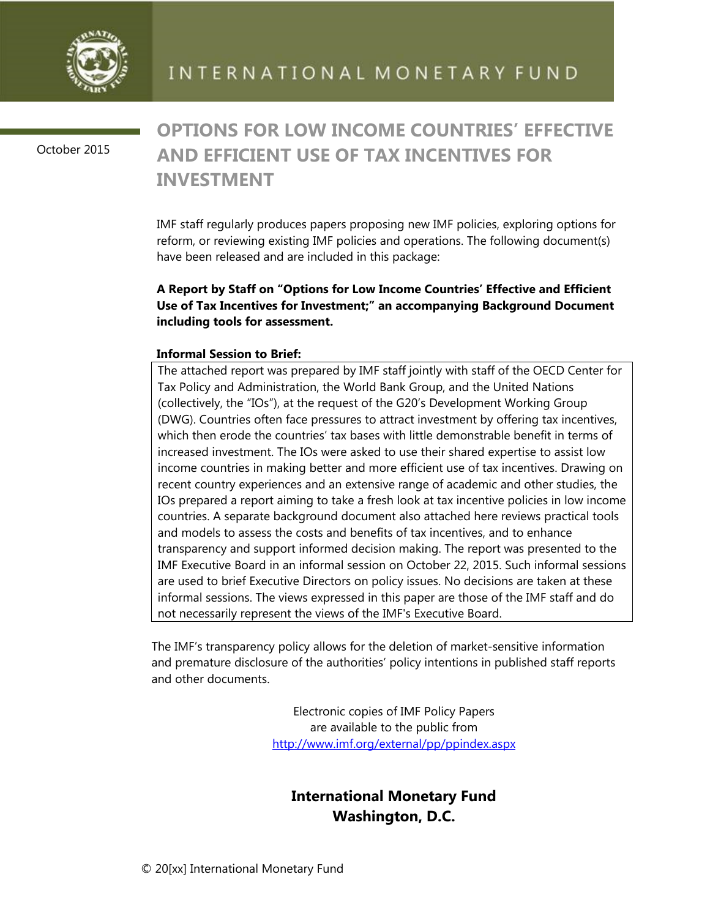

October 2015

## **OPTIONS FOR LOW INCOME COUNTRIES' EFFECTIVE AND EFFICIENT USE OF TAX INCENTIVES FOR INVESTMENT**

IMF staff regularly produces papers proposing new IMF policies, exploring options for reform, or reviewing existing IMF policies and operations. The following document(s) have been released and are included in this package:

## **A Report by Staff on "Options for Low Income Countries' Effective and Efficient Use of Tax Incentives for Investment;" an accompanying Background Document including tools for assessment.**

## **Informal Session to Brief:**

The attached report was prepared by IMF staff jointly with staff of the OECD Center for Tax Policy and Administration, the World Bank Group, and the United Nations (collectively, the "IOs"), at the request of the G20's Development Working Group (DWG). Countries often face pressures to attract investment by offering tax incentives, which then erode the countries' tax bases with little demonstrable benefit in terms of increased investment. The IOs were asked to use their shared expertise to assist low income countries in making better and more efficient use of tax incentives. Drawing on recent country experiences and an extensive range of academic and other studies, the IOs prepared a report aiming to take a fresh look at tax incentive policies in low income countries. A separate background document also attached here reviews practical tools and models to assess the costs and benefits of tax incentives, and to enhance transparency and support informed decision making. The report was presented to the IMF Executive Board in an informal session on October 22, 2015. Such informal sessions are used to brief Executive Directors on policy issues. No decisions are taken at these informal sessions. The views expressed in this paper are those of the IMF staff and do not necessarily represent the views of the IMF's Executive Board.

The IMF's transparency policy allows for the deletion of market-sensitive information and premature disclosure of the authorities' policy intentions in published staff reports and other documents.

> Electronic copies of IMF Policy Papers are available to the public from http://www.imf.org/external/pp/ppindex.aspx

## **International Monetary Fund Washington, D.C.**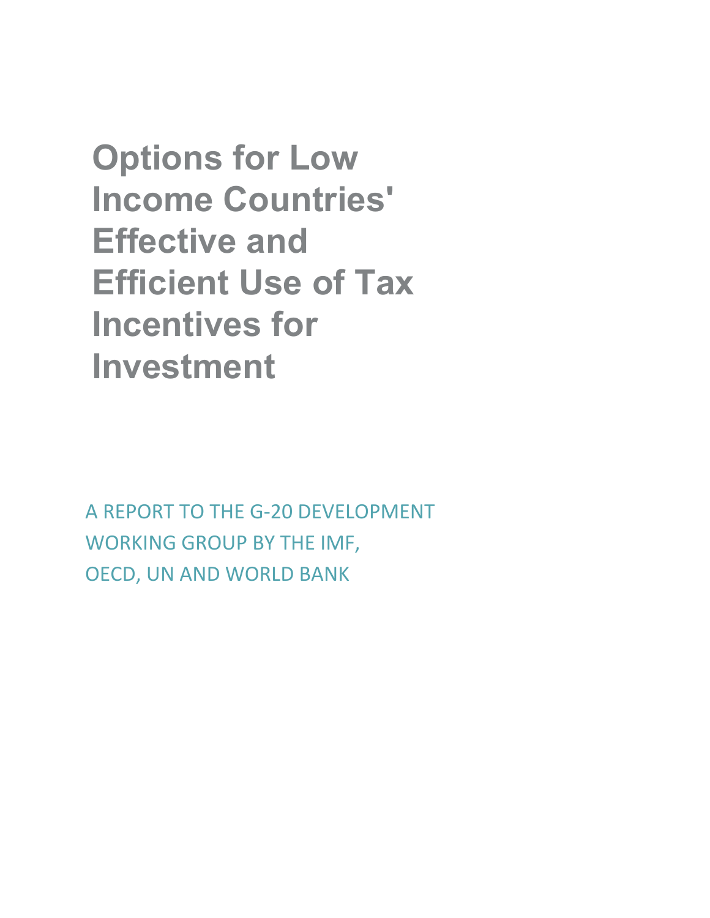**Options for Low Income Countries' Effective and Efficient Use of Tax Incentives for Investment** 

A REPORT TO THE G-20 DEVELOPMENT WORKING GROUP BY THE IMF, OECD, UN AND WORLD BANK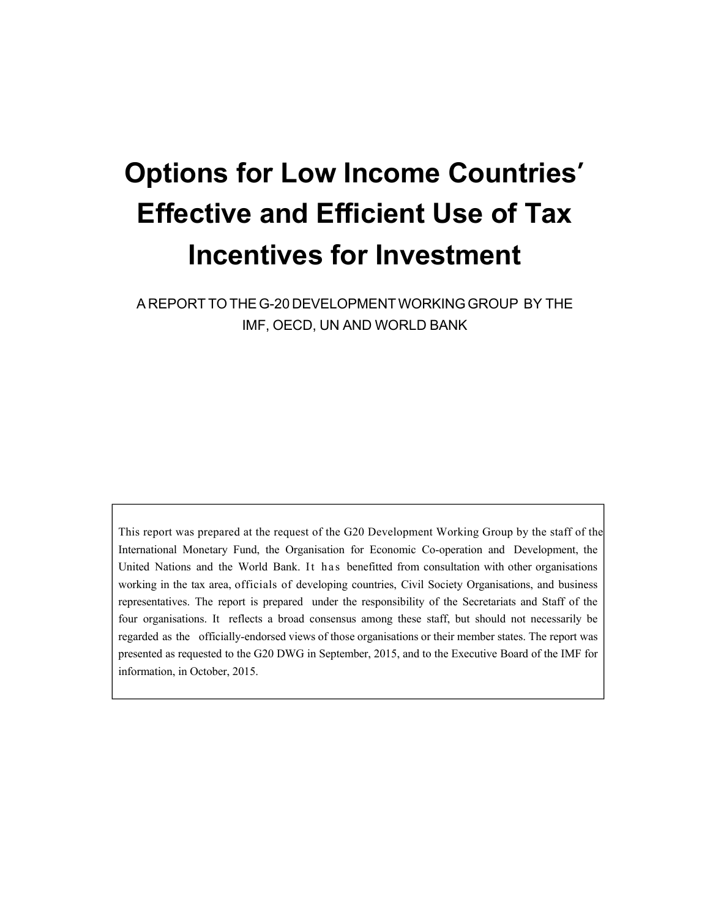# **Options for Low Income Countries' Effective and Efficient Use of Tax Incentives for Investment**

A REPORT TO THE G-20 DEVELOPMENT WORKING GROUP BY THE IMF, OECD, UN AND WORLD BANK

This report was prepared at the request of the G20 Development Working Group by the staff of the International Monetary Fund, the Organisation for Economic Co-operation and Development, the United Nations and the World Bank. It has benefitted from consultation with other organisations working in the tax area, officials of developing countries, Civil Society Organisations, and business representatives. The report is prepared under the responsibility of the Secretariats and Staff of the four organisations. It reflects a broad consensus among these staff, but should not necessarily be regarded as the officially-endorsed views of those organisations or their member states. The report was presented as requested to the G20 DWG in September, 2015, and to the Executive Board of the IMF for information, in October, 2015.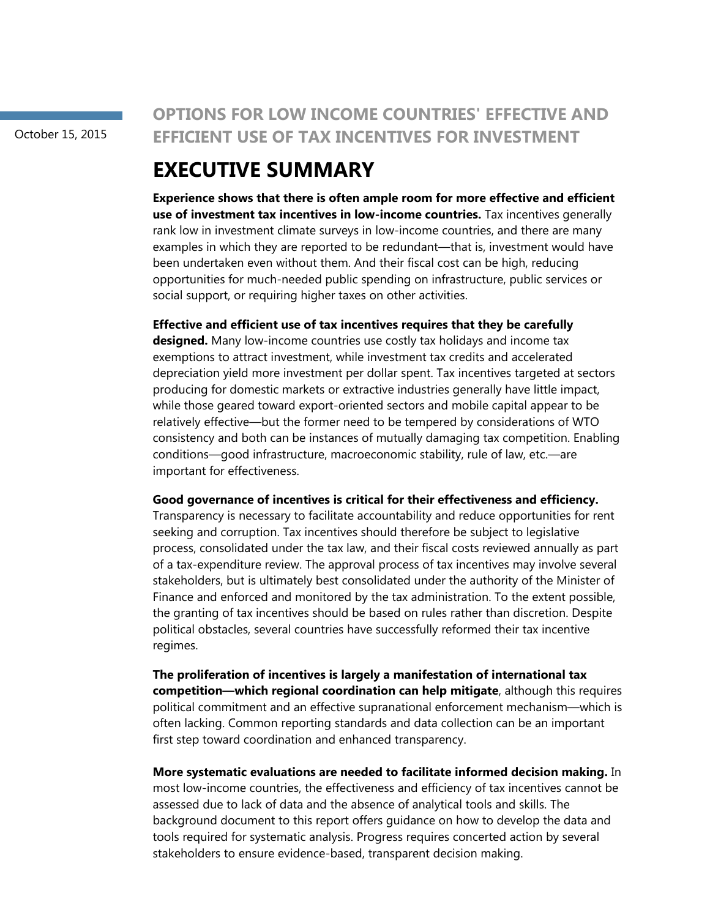October 15, 2015

## **OPTIONS FOR LOW INCOME COUNTRIES' EFFECTIVE AND EFFICIENT USE OF TAX INCENTIVES FOR INVESTMENT**

## **EXECUTIVE SUMMARY**

**Experience shows that there is often ample room for more effective and efficient use of investment tax incentives in low-income countries.** Tax incentives generally rank low in investment climate surveys in low-income countries, and there are many examples in which they are reported to be redundant—that is, investment would have been undertaken even without them. And their fiscal cost can be high, reducing opportunities for much-needed public spending on infrastructure, public services or social support, or requiring higher taxes on other activities.

**Effective and efficient use of tax incentives requires that they be carefully** 

**designed.** Many low-income countries use costly tax holidays and income tax exemptions to attract investment, while investment tax credits and accelerated depreciation yield more investment per dollar spent. Tax incentives targeted at sectors producing for domestic markets or extractive industries generally have little impact, while those geared toward export-oriented sectors and mobile capital appear to be relatively effective—but the former need to be tempered by considerations of WTO consistency and both can be instances of mutually damaging tax competition. Enabling conditions—good infrastructure, macroeconomic stability, rule of law, etc.—are important for effectiveness.

**Good governance of incentives is critical for their effectiveness and efficiency.**

Transparency is necessary to facilitate accountability and reduce opportunities for rent seeking and corruption. Tax incentives should therefore be subject to legislative process, consolidated under the tax law, and their fiscal costs reviewed annually as part of a tax-expenditure review. The approval process of tax incentives may involve several stakeholders, but is ultimately best consolidated under the authority of the Minister of Finance and enforced and monitored by the tax administration. To the extent possible, the granting of tax incentives should be based on rules rather than discretion. Despite political obstacles, several countries have successfully reformed their tax incentive regimes.

**The proliferation of incentives is largely a manifestation of international tax competition—which regional coordination can help mitigate**, although this requires political commitment and an effective supranational enforcement mechanism—which is often lacking. Common reporting standards and data collection can be an important first step toward coordination and enhanced transparency.

**More systematic evaluations are needed to facilitate informed decision making.** In most low-income countries, the effectiveness and efficiency of tax incentives cannot be assessed due to lack of data and the absence of analytical tools and skills. The background document to this report offers guidance on how to develop the data and tools required for systematic analysis. Progress requires concerted action by several stakeholders to ensure evidence-based, transparent decision making.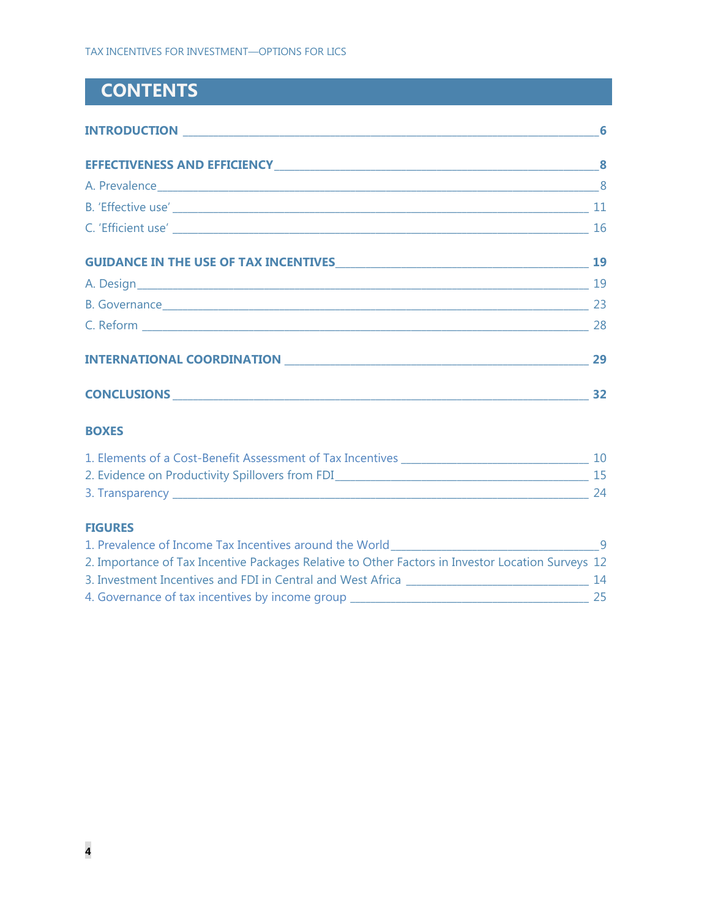## **CONTENTS**

|                                          | 6  |
|------------------------------------------|----|
|                                          |    |
|                                          |    |
|                                          |    |
|                                          |    |
| GUIDANCE IN THE USE OF TAX INCENTIVES 19 |    |
|                                          |    |
| B. Governance 23                         |    |
|                                          |    |
|                                          | 29 |
|                                          | 32 |

## **BOXES**

| 1. Elements of a Cost-Benefit Assessment of Tax Incentives |    |
|------------------------------------------------------------|----|
| 2. Evidence on Productivity Spillovers from FDI            |    |
| 3. Transparency _                                          | 24 |

## **FIGURES**

| 1. Prevalence of Income Tax Incentives around the World                                           |    |
|---------------------------------------------------------------------------------------------------|----|
| 2. Importance of Tax Incentive Packages Relative to Other Factors in Investor Location Surveys 12 |    |
| 3. Investment Incentives and FDI in Central and West Africa                                       | 14 |
| 4. Governance of tax incentives by income group                                                   | 25 |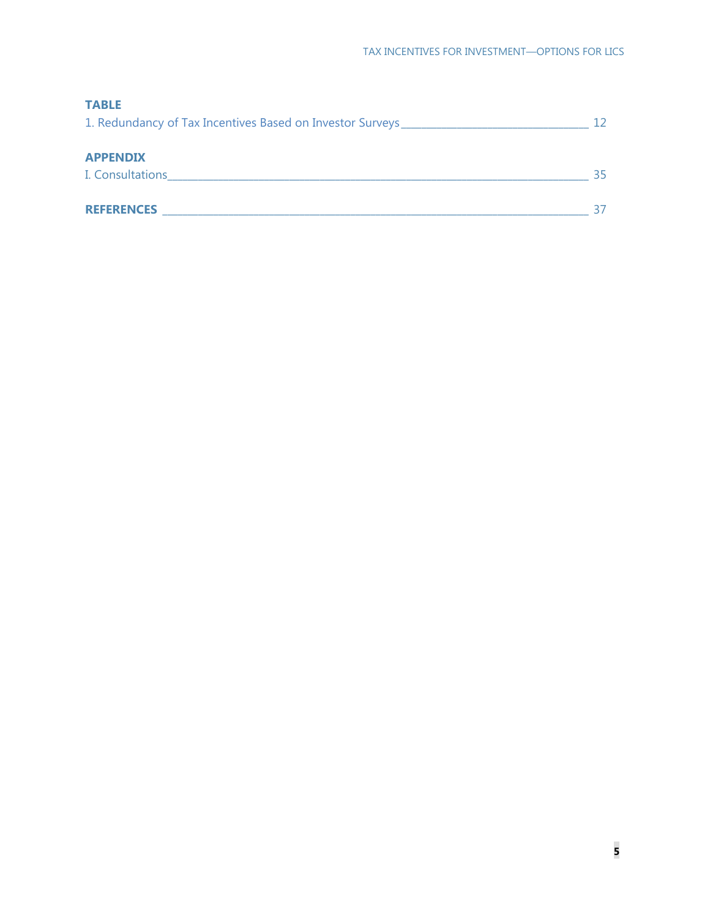| <b>TABLE</b>                                                                     |    |
|----------------------------------------------------------------------------------|----|
| 1. Redundancy of Tax Incentives Based on Investor Surveys ______________________ | 12 |
| <b>APPENDIX</b>                                                                  |    |
| I. Consultations                                                                 | 35 |
| <b>REFERENCES</b>                                                                | 37 |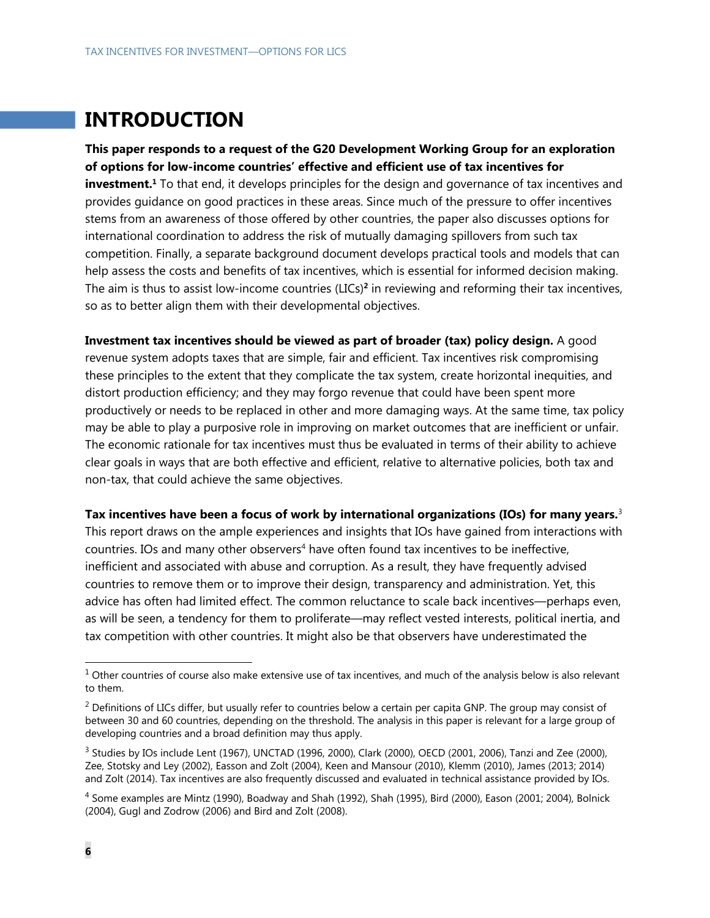## **INTRODUCTION**

**This paper responds to a request of the G20 Development Working Group for an exploration of options for low-income countries' effective and efficient use of tax incentives for investment.**<sup>1</sup> To that end, it develops principles for the design and governance of tax incentives and provides guidance on good practices in these areas. Since much of the pressure to offer incentives stems from an awareness of those offered by other countries, the paper also discusses options for international coordination to address the risk of mutually damaging spillovers from such tax competition. Finally, a separate background document develops practical tools and models that can help assess the costs and benefits of tax incentives, which is essential for informed decision making. The aim is thus to assist low-income countries (LICs)**<sup>2</sup>** in reviewing and reforming their tax incentives, so as to better align them with their developmental objectives.

**Investment tax incentives should be viewed as part of broader (tax) policy design.** A good revenue system adopts taxes that are simple, fair and efficient. Tax incentives risk compromising these principles to the extent that they complicate the tax system, create horizontal inequities, and distort production efficiency; and they may forgo revenue that could have been spent more productively or needs to be replaced in other and more damaging ways. At the same time, tax policy may be able to play a purposive role in improving on market outcomes that are inefficient or unfair. The economic rationale for tax incentives must thus be evaluated in terms of their ability to achieve clear goals in ways that are both effective and efficient, relative to alternative policies, both tax and non-tax, that could achieve the same objectives.

**Tax incentives have been a focus of work by international organizations (IOs) for many years.**<sup>3</sup> This report draws on the ample experiences and insights that IOs have gained from interactions with countries. IOs and many other observers<sup>4</sup> have often found tax incentives to be ineffective, inefficient and associated with abuse and corruption. As a result, they have frequently advised countries to remove them or to improve their design, transparency and administration. Yet, this advice has often had limited effect. The common reluctance to scale back incentives—perhaps even, as will be seen, a tendency for them to proliferate—may reflect vested interests, political inertia, and tax competition with other countries. It might also be that observers have underestimated the

 $1$  Other countries of course also make extensive use of tax incentives, and much of the analysis below is also relevant to them.

<sup>&</sup>lt;sup>2</sup> Definitions of LICs differ, but usually refer to countries below a certain per capita GNP. The group may consist of between 30 and 60 countries, depending on the threshold. The analysis in this paper is relevant for a large group of developing countries and a broad definition may thus apply.

<sup>&</sup>lt;sup>3</sup> Studies by IOs include Lent (1967), UNCTAD (1996, 2000), Clark (2000), OECD (2001, 2006), Tanzi and Zee (2000), Zee, Stotsky and Ley (2002), Easson and Zolt (2004), Keen and Mansour (2010), Klemm (2010), James (2013; 2014) and Zolt (2014). Tax incentives are also frequently discussed and evaluated in technical assistance provided by IOs.

<sup>4</sup> Some examples are Mintz (1990), Boadway and Shah (1992), Shah (1995), Bird (2000), Eason (2001; 2004), Bolnick (2004), Gugl and Zodrow (2006) and Bird and Zolt (2008).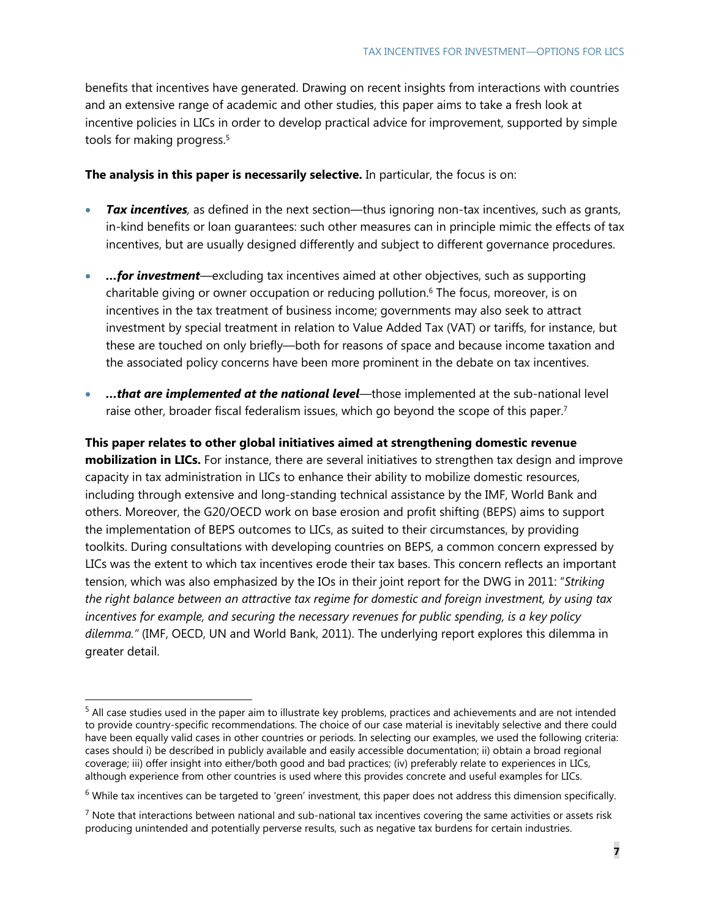benefits that incentives have generated. Drawing on recent insights from interactions with countries and an extensive range of academic and other studies, this paper aims to take a fresh look at incentive policies in LICs in order to develop practical advice for improvement, supported by simple tools for making progress.<sup>5</sup>

### **The analysis in this paper is necessarily selective.** In particular, the focus is on:

- *Tax incentives,* as defined in the next section—thus ignoring non-tax incentives, such as grants, in-kind benefits or loan guarantees: such other measures can in principle mimic the effects of tax incentives, but are usually designed differently and subject to different governance procedures.
- *…for investment*—excluding tax incentives aimed at other objectives, such as supporting charitable giving or owner occupation or reducing pollution.<sup>6</sup> The focus, moreover, is on incentives in the tax treatment of business income; governments may also seek to attract investment by special treatment in relation to Value Added Tax (VAT) or tariffs, for instance, but these are touched on only briefly—both for reasons of space and because income taxation and the associated policy concerns have been more prominent in the debate on tax incentives.
- *…that are implemented at the national level*—those implemented at the sub-national level raise other, broader fiscal federalism issues, which go beyond the scope of this paper.<sup>7</sup>

**This paper relates to other global initiatives aimed at strengthening domestic revenue mobilization in LICs.** For instance, there are several initiatives to strengthen tax design and improve capacity in tax administration in LICs to enhance their ability to mobilize domestic resources, including through extensive and long-standing technical assistance by the IMF, World Bank and others. Moreover, the G20/OECD work on base erosion and profit shifting (BEPS) aims to support the implementation of BEPS outcomes to LICs, as suited to their circumstances, by providing toolkits. During consultations with developing countries on BEPS, a common concern expressed by LICs was the extent to which tax incentives erode their tax bases. This concern reflects an important tension, which was also emphasized by the IOs in their joint report for the DWG in 2011: "*Striking the right balance between an attractive tax regime for domestic and foreign investment, by using tax incentives for example, and securing the necessary revenues for public spending, is a key policy dilemma."* (IMF, OECD, UN and World Bank, 2011). The underlying report explores this dilemma in greater detail.

<sup>&</sup>lt;sup>5</sup> All case studies used in the paper aim to illustrate key problems, practices and achievements and are not intended to provide country-specific recommendations. The choice of our case material is inevitably selective and there could have been equally valid cases in other countries or periods. In selecting our examples, we used the following criteria: cases should i) be described in publicly available and easily accessible documentation; ii) obtain a broad regional coverage; iii) offer insight into either/both good and bad practices; (iv) preferably relate to experiences in LICs, although experience from other countries is used where this provides concrete and useful examples for LICs.

 $6$  While tax incentives can be targeted to 'green' investment, this paper does not address this dimension specifically.

 $^7$  Note that interactions between national and sub-national tax incentives covering the same activities or assets risk producing unintended and potentially perverse results, such as negative tax burdens for certain industries.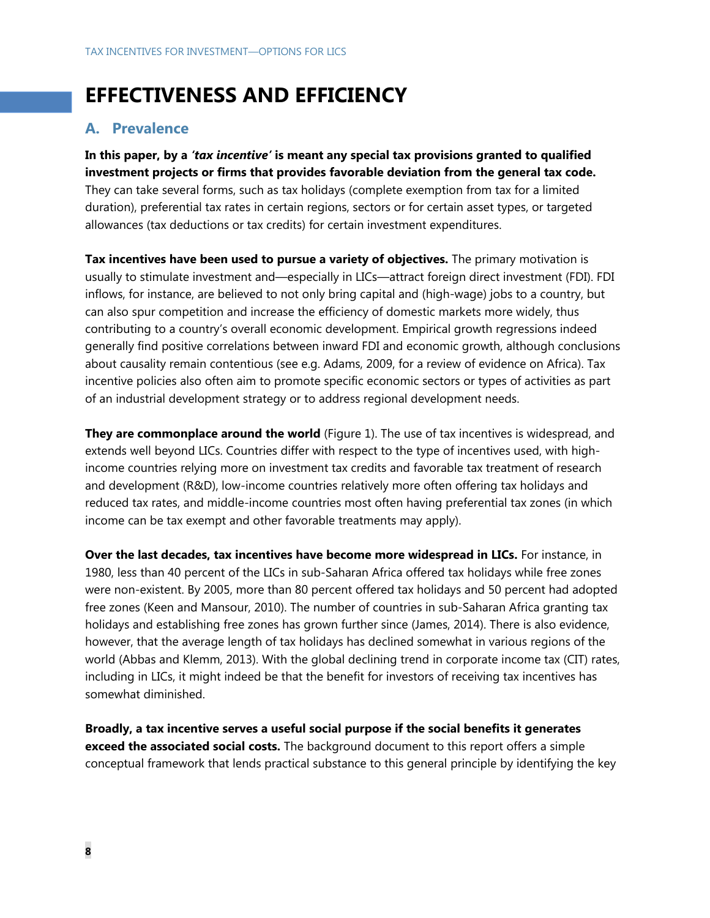## **EFFECTIVENESS AND EFFICIENCY**

## **A. Prevalence**

**In this paper, by a** *'tax incentive'* **is meant any special tax provisions granted to qualified investment projects or firms that provides favorable deviation from the general tax code.** They can take several forms, such as tax holidays (complete exemption from tax for a limited duration), preferential tax rates in certain regions, sectors or for certain asset types, or targeted allowances (tax deductions or tax credits) for certain investment expenditures.

**Tax incentives have been used to pursue a variety of objectives.** The primary motivation is usually to stimulate investment and—especially in LICs—attract foreign direct investment (FDI). FDI inflows, for instance, are believed to not only bring capital and (high-wage) jobs to a country, but can also spur competition and increase the efficiency of domestic markets more widely, thus contributing to a country's overall economic development. Empirical growth regressions indeed generally find positive correlations between inward FDI and economic growth, although conclusions about causality remain contentious (see e.g. Adams, 2009, for a review of evidence on Africa). Tax incentive policies also often aim to promote specific economic sectors or types of activities as part of an industrial development strategy or to address regional development needs.

**They are commonplace around the world** (Figure 1). The use of tax incentives is widespread, and extends well beyond LICs. Countries differ with respect to the type of incentives used, with highincome countries relying more on investment tax credits and favorable tax treatment of research and development (R&D), low-income countries relatively more often offering tax holidays and reduced tax rates, and middle-income countries most often having preferential tax zones (in which income can be tax exempt and other favorable treatments may apply).

**Over the last decades, tax incentives have become more widespread in LICs.** For instance, in 1980, less than 40 percent of the LICs in sub-Saharan Africa offered tax holidays while free zones were non-existent. By 2005, more than 80 percent offered tax holidays and 50 percent had adopted free zones (Keen and Mansour, 2010). The number of countries in sub-Saharan Africa granting tax holidays and establishing free zones has grown further since (James, 2014). There is also evidence, however, that the average length of tax holidays has declined somewhat in various regions of the world (Abbas and Klemm, 2013). With the global declining trend in corporate income tax (CIT) rates, including in LICs, it might indeed be that the benefit for investors of receiving tax incentives has somewhat diminished.

**Broadly, a tax incentive serves a useful social purpose if the social benefits it generates exceed the associated social costs.** The background document to this report offers a simple conceptual framework that lends practical substance to this general principle by identifying the key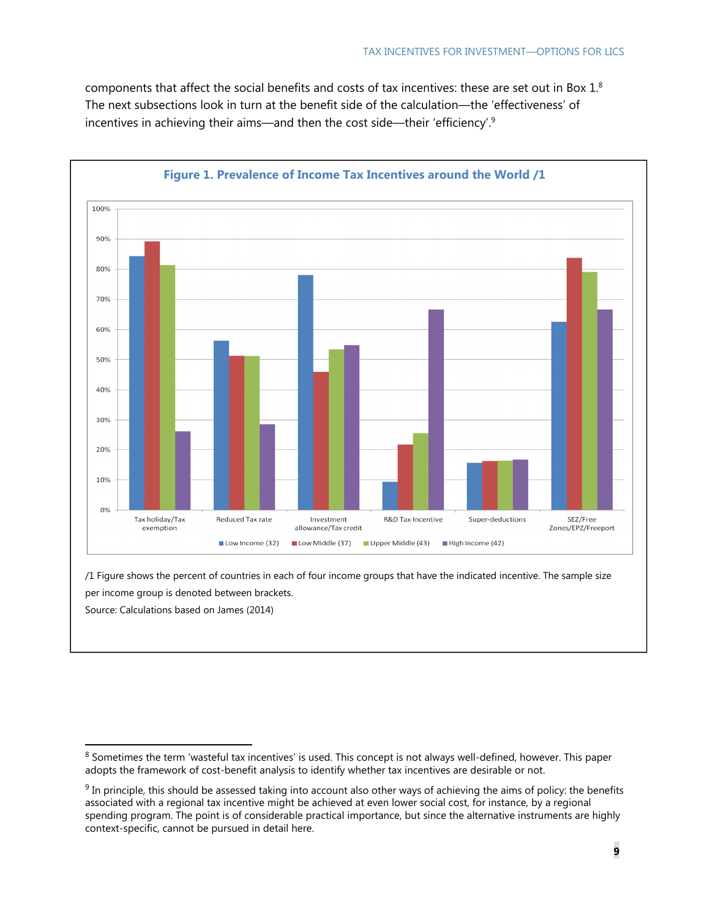components that affect the social benefits and costs of tax incentives: these are set out in Box 1.8 The next subsections look in turn at the benefit side of the calculation—the 'effectiveness' of incentives in achieving their aims—and then the cost side—their 'efficiency'.9



### **Figure 1. Prevalence of Income Tax Incentives around the World /1**

/1 Figure shows the percent of countries in each of four income groups that have the indicated incentive. The sample size per income group is denoted between brackets. Source: Calculations based on James (2014)

<sup>&</sup>lt;sup>8</sup> Sometimes the term 'wasteful tax incentives' is used. This concept is not always well-defined, however. This paper adopts the framework of cost-benefit analysis to identify whether tax incentives are desirable or not.

 $9$  In principle, this should be assessed taking into account also other ways of achieving the aims of policy: the benefits associated with a regional tax incentive might be achieved at even lower social cost, for instance, by a regional spending program. The point is of considerable practical importance, but since the alternative instruments are highly context-specific, cannot be pursued in detail here.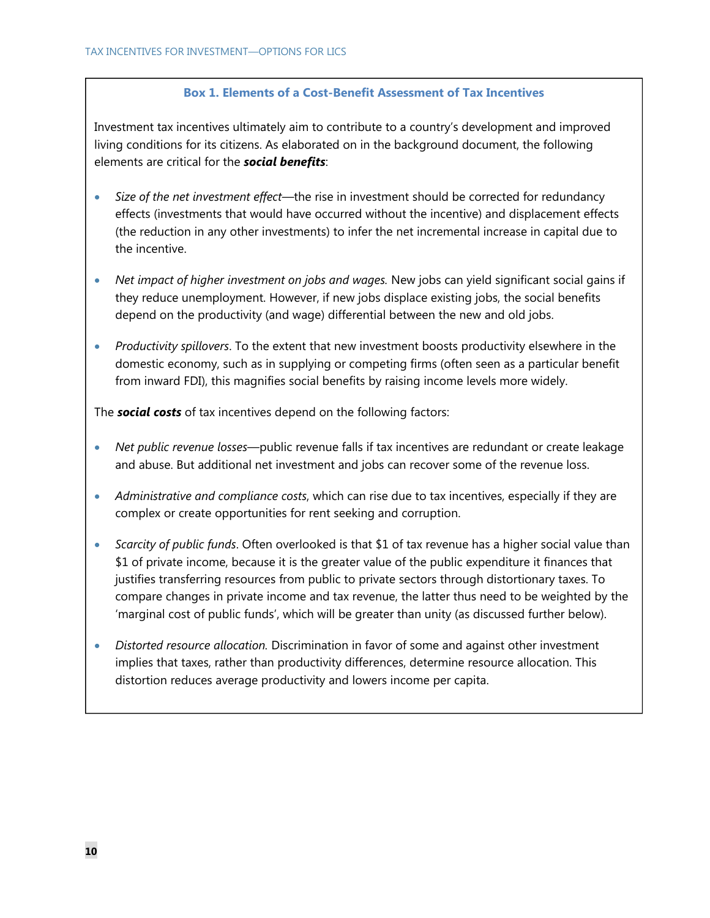### **Box 1. Elements of a Cost-Benefit Assessment of Tax Incentives**

Investment tax incentives ultimately aim to contribute to a country's development and improved living conditions for its citizens. As elaborated on in the background document, the following elements are critical for the *social benefits*:

- *Size of the net investment effect—*the rise in investment should be corrected for redundancy effects (investments that would have occurred without the incentive) and displacement effects (the reduction in any other investments) to infer the net incremental increase in capital due to the incentive.
- *Net impact of higher investment on jobs and wages.* New jobs can yield significant social gains if they reduce unemployment. However, if new jobs displace existing jobs, the social benefits depend on the productivity (and wage) differential between the new and old jobs.
- *Productivity spillovers*. To the extent that new investment boosts productivity elsewhere in the domestic economy, such as in supplying or competing firms (often seen as a particular benefit from inward FDI), this magnifies social benefits by raising income levels more widely.

The *social costs* of tax incentives depend on the following factors:

- *Net public revenue losses*—public revenue falls if tax incentives are redundant or create leakage and abuse. But additional net investment and jobs can recover some of the revenue loss.
- *Administrative and compliance costs*, which can rise due to tax incentives, especially if they are complex or create opportunities for rent seeking and corruption.
- *Scarcity of public funds*. Often overlooked is that \$1 of tax revenue has a higher social value than \$1 of private income, because it is the greater value of the public expenditure it finances that justifies transferring resources from public to private sectors through distortionary taxes. To compare changes in private income and tax revenue, the latter thus need to be weighted by the 'marginal cost of public funds', which will be greater than unity (as discussed further below).
- *Distorted resource allocation.* Discrimination in favor of some and against other investment implies that taxes, rather than productivity differences, determine resource allocation. This distortion reduces average productivity and lowers income per capita.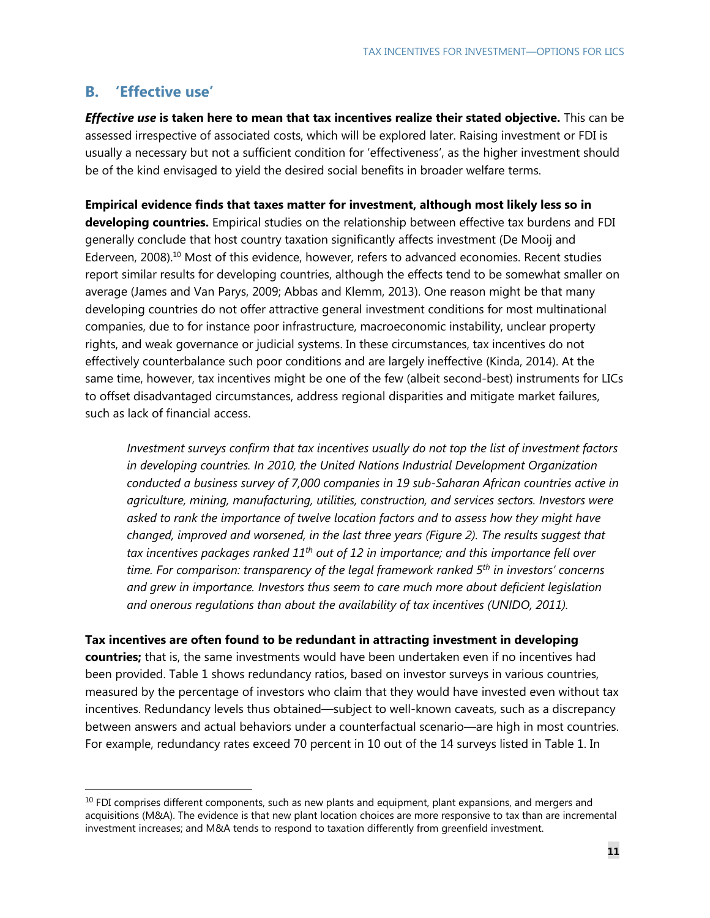## **B. 'Effective use'**

-

*Effective use* **is taken here to mean that tax incentives realize their stated objective.** This can be assessed irrespective of associated costs, which will be explored later. Raising investment or FDI is usually a necessary but not a sufficient condition for 'effectiveness', as the higher investment should be of the kind envisaged to yield the desired social benefits in broader welfare terms.

**Empirical evidence finds that taxes matter for investment, although most likely less so in developing countries.** Empirical studies on the relationship between effective tax burdens and FDI generally conclude that host country taxation significantly affects investment (De Mooij and Ederveen, 2008).10 Most of this evidence, however, refers to advanced economies. Recent studies report similar results for developing countries, although the effects tend to be somewhat smaller on average (James and Van Parys, 2009; Abbas and Klemm, 2013). One reason might be that many developing countries do not offer attractive general investment conditions for most multinational companies, due to for instance poor infrastructure, macroeconomic instability, unclear property rights, and weak governance or judicial systems. In these circumstances, tax incentives do not effectively counterbalance such poor conditions and are largely ineffective (Kinda, 2014). At the same time, however, tax incentives might be one of the few (albeit second-best) instruments for LICs to offset disadvantaged circumstances, address regional disparities and mitigate market failures, such as lack of financial access.

*Investment surveys confirm that tax incentives usually do not top the list of investment factors in developing countries. In 2010, the United Nations Industrial Development Organization conducted a business survey of 7,000 companies in 19 sub-Saharan African countries active in agriculture, mining, manufacturing, utilities, construction, and services sectors. Investors were asked to rank the importance of twelve location factors and to assess how they might have changed, improved and worsened, in the last three years (Figure 2). The results suggest that tax incentives packages ranked 11th out of 12 in importance; and this importance fell over time. For comparison: transparency of the legal framework ranked 5th in investors' concerns and grew in importance. Investors thus seem to care much more about deficient legislation and onerous regulations than about the availability of tax incentives (UNIDO, 2011).* 

#### **Tax incentives are often found to be redundant in attracting investment in developing**

**countries;** that is, the same investments would have been undertaken even if no incentives had been provided. Table 1 shows redundancy ratios, based on investor surveys in various countries, measured by the percentage of investors who claim that they would have invested even without tax incentives. Redundancy levels thus obtained—subject to well-known caveats, such as a discrepancy between answers and actual behaviors under a counterfactual scenario—are high in most countries. For example, redundancy rates exceed 70 percent in 10 out of the 14 surveys listed in Table 1. In

 $10$  FDI comprises different components, such as new plants and equipment, plant expansions, and mergers and acquisitions (M&A). The evidence is that new plant location choices are more responsive to tax than are incremental investment increases; and M&A tends to respond to taxation differently from greenfield investment.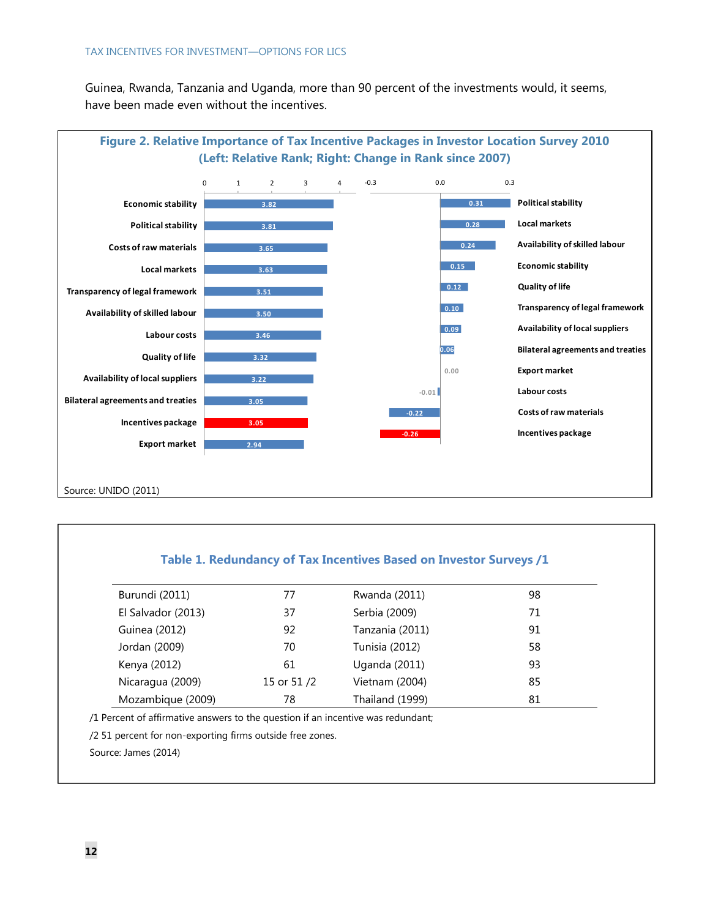Guinea, Rwanda, Tanzania and Uganda, more than 90 percent of the investments would, it seems, have been made even without the incentives.



### **Table 1. Redundancy of Tax Incentives Based on Investor Surveys /1**

| Burundi (2011)     | 77         | Rwanda (2011)        | 98 |
|--------------------|------------|----------------------|----|
| El Salvador (2013) | 37         | Serbia (2009)        | 71 |
| Guinea (2012)      | 92         | Tanzania (2011)      | 91 |
| Jordan (2009)      | 70         | Tunisia (2012)       | 58 |
| Kenya (2012)       | 61         | <b>Uganda (2011)</b> | 93 |
| Nicaragua (2009)   | 15 or 51/2 | Vietnam (2004)       | 85 |
| Mozambique (2009)  | 78         | Thailand (1999)      | 81 |

/1 Percent of affirmative answers to the question if an incentive was redundant;

/2 51 percent for non-exporting firms outside free zones.

Source: James (2014)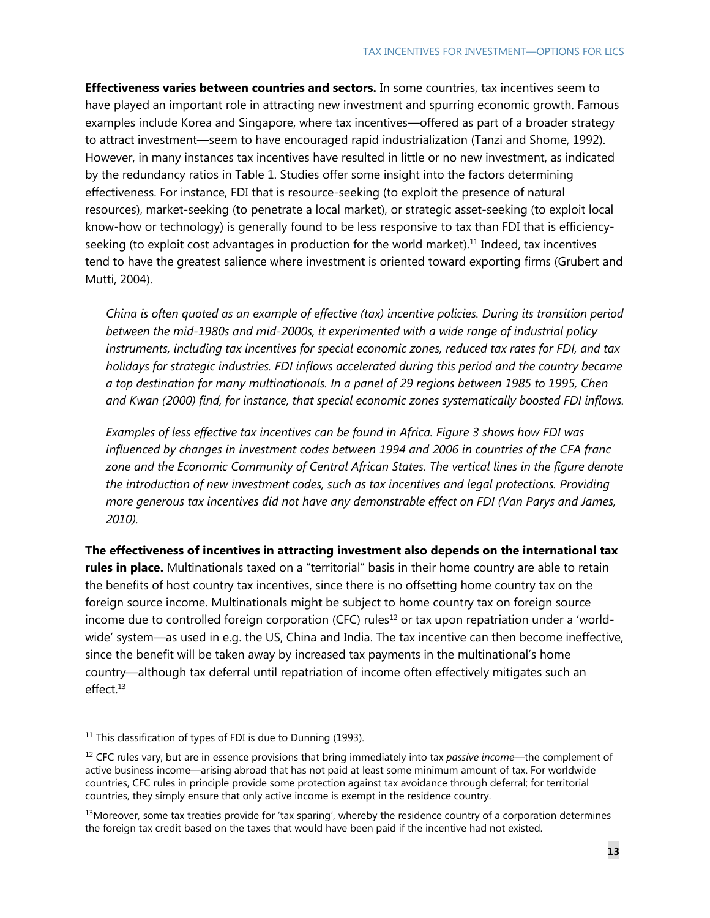**Effectiveness varies between countries and sectors.** In some countries, tax incentives seem to have played an important role in attracting new investment and spurring economic growth. Famous examples include Korea and Singapore, where tax incentives—offered as part of a broader strategy to attract investment—seem to have encouraged rapid industrialization (Tanzi and Shome, 1992). However, in many instances tax incentives have resulted in little or no new investment, as indicated by the redundancy ratios in Table 1. Studies offer some insight into the factors determining effectiveness. For instance, FDI that is resource-seeking (to exploit the presence of natural resources), market-seeking (to penetrate a local market), or strategic asset-seeking (to exploit local know-how or technology) is generally found to be less responsive to tax than FDI that is efficiencyseeking (to exploit cost advantages in production for the world market). $<sup>11</sup>$  Indeed, tax incentives</sup> tend to have the greatest salience where investment is oriented toward exporting firms (Grubert and Mutti, 2004).

*China is often quoted as an example of effective (tax) incentive policies. During its transition period between the mid-1980s and mid-2000s, it experimented with a wide range of industrial policy instruments, including tax incentives for special economic zones, reduced tax rates for FDI, and tax holidays for strategic industries. FDI inflows accelerated during this period and the country became a top destination for many multinationals. In a panel of 29 regions between 1985 to 1995, Chen and Kwan (2000) find, for instance, that special economic zones systematically boosted FDI inflows.* 

*Examples of less effective tax incentives can be found in Africa. Figure 3 shows how FDI was influenced by changes in investment codes between 1994 and 2006 in countries of the CFA franc zone and the Economic Community of Central African States. The vertical lines in the figure denote the introduction of new investment codes, such as tax incentives and legal protections. Providing more generous tax incentives did not have any demonstrable effect on FDI (Van Parys and James, 2010).* 

**The effectiveness of incentives in attracting investment also depends on the international tax rules in place.** Multinationals taxed on a "territorial" basis in their home country are able to retain the benefits of host country tax incentives, since there is no offsetting home country tax on the foreign source income. Multinationals might be subject to home country tax on foreign source income due to controlled foreign corporation (CFC) rules<sup>12</sup> or tax upon repatriation under a 'worldwide' system—as used in e.g. the US, China and India. The tax incentive can then become ineffective, since the benefit will be taken away by increased tax payments in the multinational's home country—although tax deferral until repatriation of income often effectively mitigates such an effect.13

 $11$  This classification of types of FDI is due to Dunning (1993).

<sup>12</sup> CFC rules vary, but are in essence provisions that bring immediately into tax *passive income*—the complement of active business income—arising abroad that has not paid at least some minimum amount of tax. For worldwide countries, CFC rules in principle provide some protection against tax avoidance through deferral; for territorial countries, they simply ensure that only active income is exempt in the residence country.

 $13$ Moreover, some tax treaties provide for 'tax sparing', whereby the residence country of a corporation determines the foreign tax credit based on the taxes that would have been paid if the incentive had not existed.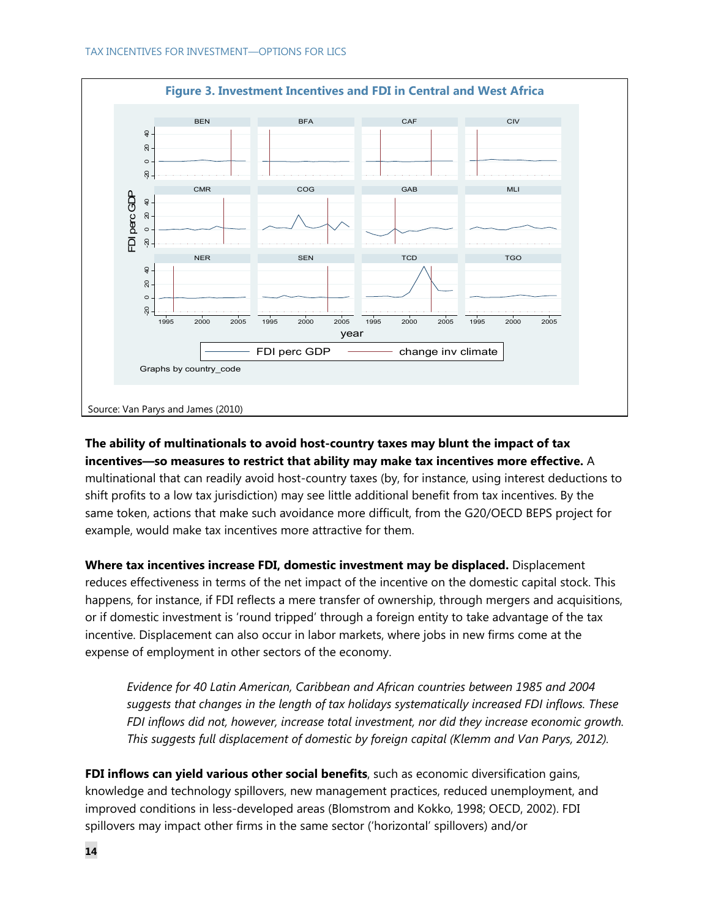

## **The ability of multinationals to avoid host-country taxes may blunt the impact of tax incentives—so measures to restrict that ability may make tax incentives more effective.** A multinational that can readily avoid host-country taxes (by, for instance, using interest deductions to shift profits to a low tax jurisdiction) may see little additional benefit from tax incentives. By the same token, actions that make such avoidance more difficult, from the G20/OECD BEPS project for example, would make tax incentives more attractive for them.

**Where tax incentives increase FDI, domestic investment may be displaced.** Displacement reduces effectiveness in terms of the net impact of the incentive on the domestic capital stock. This happens, for instance, if FDI reflects a mere transfer of ownership, through mergers and acquisitions, or if domestic investment is 'round tripped' through a foreign entity to take advantage of the tax incentive. Displacement can also occur in labor markets, where jobs in new firms come at the expense of employment in other sectors of the economy.

*Evidence for 40 Latin American, Caribbean and African countries between 1985 and 2004 suggests that changes in the length of tax holidays systematically increased FDI inflows. These FDI inflows did not, however, increase total investment, nor did they increase economic growth. This suggests full displacement of domestic by foreign capital (Klemm and Van Parys, 2012).* 

**FDI inflows can yield various other social benefits**, such as economic diversification gains, knowledge and technology spillovers, new management practices, reduced unemployment, and improved conditions in less-developed areas (Blomstrom and Kokko, 1998; OECD, 2002). FDI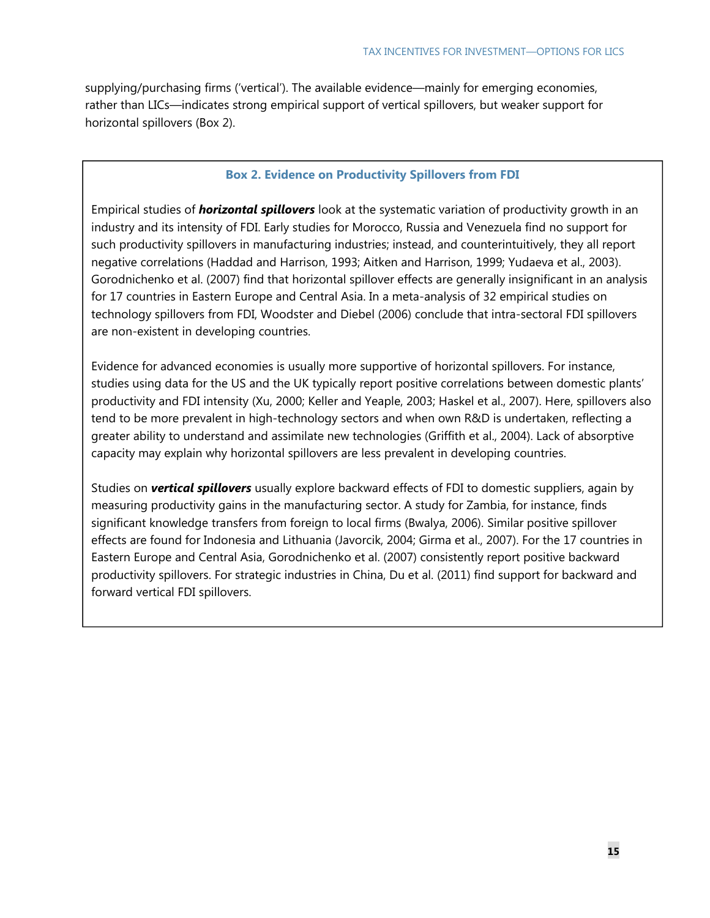supplying/purchasing firms ('vertical'). The available evidence—mainly for emerging economies, rather than LICs—indicates strong empirical support of vertical spillovers, but weaker support for horizontal spillovers (Box 2).

### **Box 2. Evidence on Productivity Spillovers from FDI**

Empirical studies of *horizontal spillovers* look at the systematic variation of productivity growth in an industry and its intensity of FDI. Early studies for Morocco, Russia and Venezuela find no support for such productivity spillovers in manufacturing industries; instead, and counterintuitively, they all report negative correlations (Haddad and Harrison, 1993; Aitken and Harrison, 1999; Yudaeva et al., 2003). Gorodnichenko et al. (2007) find that horizontal spillover effects are generally insignificant in an analysis for 17 countries in Eastern Europe and Central Asia. In a meta-analysis of 32 empirical studies on technology spillovers from FDI, Woodster and Diebel (2006) conclude that intra-sectoral FDI spillovers are non-existent in developing countries.

Evidence for advanced economies is usually more supportive of horizontal spillovers. For instance, studies using data for the US and the UK typically report positive correlations between domestic plants' productivity and FDI intensity (Xu, 2000; Keller and Yeaple, 2003; Haskel et al., 2007). Here, spillovers also tend to be more prevalent in high-technology sectors and when own R&D is undertaken, reflecting a greater ability to understand and assimilate new technologies (Griffith et al., 2004). Lack of absorptive capacity may explain why horizontal spillovers are less prevalent in developing countries.

Studies on *vertical spillovers* usually explore backward effects of FDI to domestic suppliers, again by measuring productivity gains in the manufacturing sector. A study for Zambia, for instance, finds significant knowledge transfers from foreign to local firms (Bwalya, 2006). Similar positive spillover effects are found for Indonesia and Lithuania (Javorcik, 2004; Girma et al., 2007). For the 17 countries in Eastern Europe and Central Asia, Gorodnichenko et al. (2007) consistently report positive backward productivity spillovers. For strategic industries in China, Du et al. (2011) find support for backward and forward vertical FDI spillovers.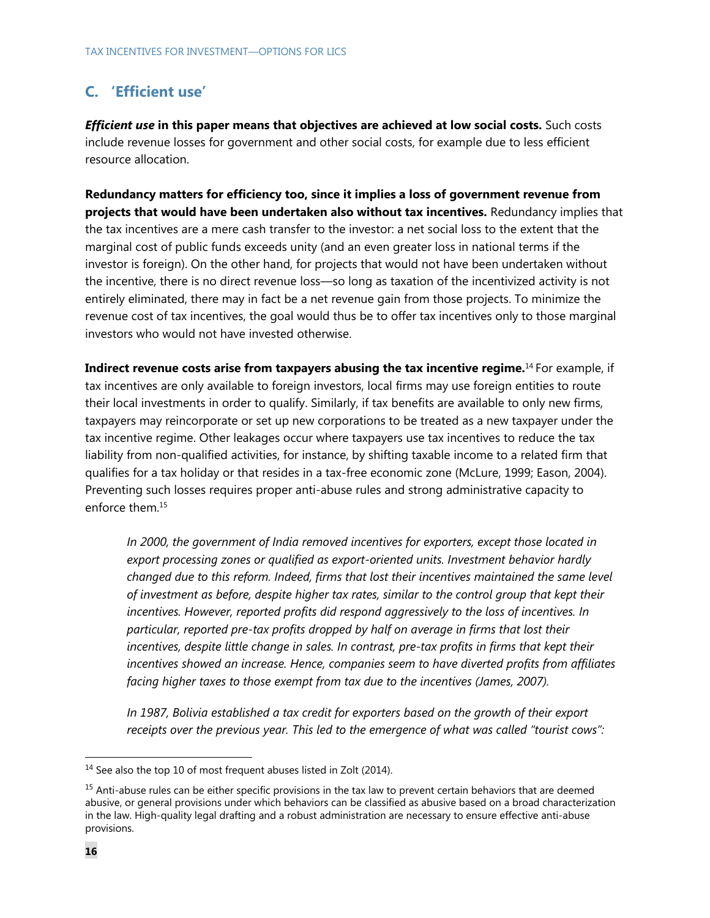## **C. 'Efficient use'**

*Efficient use* **in this paper means that objectives are achieved at low social costs.** Such costs include revenue losses for government and other social costs, for example due to less efficient resource allocation.

**Redundancy matters for efficiency too, since it implies a loss of government revenue from projects that would have been undertaken also without tax incentives.** Redundancy implies that the tax incentives are a mere cash transfer to the investor: a net social loss to the extent that the marginal cost of public funds exceeds unity (and an even greater loss in national terms if the investor is foreign). On the other hand, for projects that would not have been undertaken without the incentive, there is no direct revenue loss—so long as taxation of the incentivized activity is not entirely eliminated, there may in fact be a net revenue gain from those projects. To minimize the revenue cost of tax incentives, the goal would thus be to offer tax incentives only to those marginal investors who would not have invested otherwise.

**Indirect revenue costs arise from taxpayers abusing the tax incentive regime.**<sup>14</sup> For example, if tax incentives are only available to foreign investors, local firms may use foreign entities to route their local investments in order to qualify. Similarly, if tax benefits are available to only new firms, taxpayers may reincorporate or set up new corporations to be treated as a new taxpayer under the tax incentive regime. Other leakages occur where taxpayers use tax incentives to reduce the tax liability from non-qualified activities, for instance, by shifting taxable income to a related firm that qualifies for a tax holiday or that resides in a tax-free economic zone (McLure, 1999; Eason, 2004). Preventing such losses requires proper anti-abuse rules and strong administrative capacity to enforce them.15

*In 2000, the government of India removed incentives for exporters, except those located in export processing zones or qualified as export-oriented units. Investment behavior hardly changed due to this reform. Indeed, firms that lost their incentives maintained the same level of investment as before, despite higher tax rates, similar to the control group that kept their incentives. However, reported profits did respond aggressively to the loss of incentives. In particular, reported pre-tax profits dropped by half on average in firms that lost their incentives, despite little change in sales. In contrast, pre-tax profits in firms that kept their incentives showed an increase. Hence, companies seem to have diverted profits from affiliates facing higher taxes to those exempt from tax due to the incentives (James, 2007).* 

*In 1987, Bolivia established a tax credit for exporters based on the growth of their export receipts over the previous year. This led to the emergence of what was called "tourist cows":* 

<sup>&</sup>lt;sup>14</sup> See also the top 10 of most frequent abuses listed in Zolt (2014).

<sup>&</sup>lt;sup>15</sup> Anti-abuse rules can be either specific provisions in the tax law to prevent certain behaviors that are deemed abusive, or general provisions under which behaviors can be classified as abusive based on a broad characterization in the law. High-quality legal drafting and a robust administration are necessary to ensure effective anti-abuse provisions.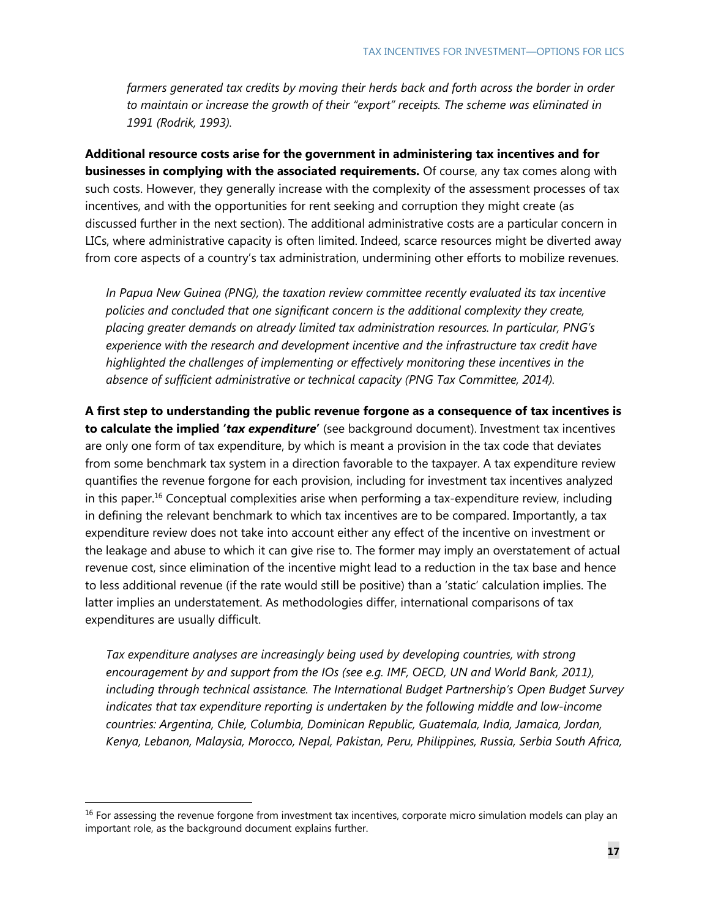farmers generated tax credits by moving their herds back and forth across the border in order *to maintain or increase the growth of their "export" receipts. The scheme was eliminated in 1991 (Rodrik, 1993).* 

**Additional resource costs arise for the government in administering tax incentives and for businesses in complying with the associated requirements.** Of course, any tax comes along with such costs. However, they generally increase with the complexity of the assessment processes of tax incentives, and with the opportunities for rent seeking and corruption they might create (as discussed further in the next section). The additional administrative costs are a particular concern in LICs, where administrative capacity is often limited. Indeed, scarce resources might be diverted away from core aspects of a country's tax administration, undermining other efforts to mobilize revenues.

*In Papua New Guinea (PNG), the taxation review committee recently evaluated its tax incentive policies and concluded that one significant concern is the additional complexity they create, placing greater demands on already limited tax administration resources. In particular, PNG's experience with the research and development incentive and the infrastructure tax credit have highlighted the challenges of implementing or effectively monitoring these incentives in the absence of sufficient administrative or technical capacity (PNG Tax Committee, 2014).* 

**A first step to understanding the public revenue forgone as a consequence of tax incentives is to calculate the implied '***tax expenditure***'** (see background document). Investment tax incentives are only one form of tax expenditure, by which is meant a provision in the tax code that deviates from some benchmark tax system in a direction favorable to the taxpayer. A tax expenditure review quantifies the revenue forgone for each provision, including for investment tax incentives analyzed in this paper.16 Conceptual complexities arise when performing a tax-expenditure review, including in defining the relevant benchmark to which tax incentives are to be compared. Importantly, a tax expenditure review does not take into account either any effect of the incentive on investment or the leakage and abuse to which it can give rise to. The former may imply an overstatement of actual revenue cost, since elimination of the incentive might lead to a reduction in the tax base and hence to less additional revenue (if the rate would still be positive) than a 'static' calculation implies. The latter implies an understatement. As methodologies differ, international comparisons of tax expenditures are usually difficult.

*Tax expenditure analyses are increasingly being used by developing countries, with strong encouragement by and support from the IOs (see e.g. IMF, OECD, UN and World Bank, 2011), including through technical assistance. The International Budget Partnership's Open Budget Survey indicates that tax expenditure reporting is undertaken by the following middle and low-income countries: Argentina, Chile, Columbia, Dominican Republic, Guatemala, India, Jamaica, Jordan, Kenya, Lebanon, Malaysia, Morocco, Nepal, Pakistan, Peru, Philippines, Russia, Serbia South Africa,* 

<sup>&</sup>lt;sup>16</sup> For assessing the revenue forgone from investment tax incentives, corporate micro simulation models can play an important role, as the background document explains further.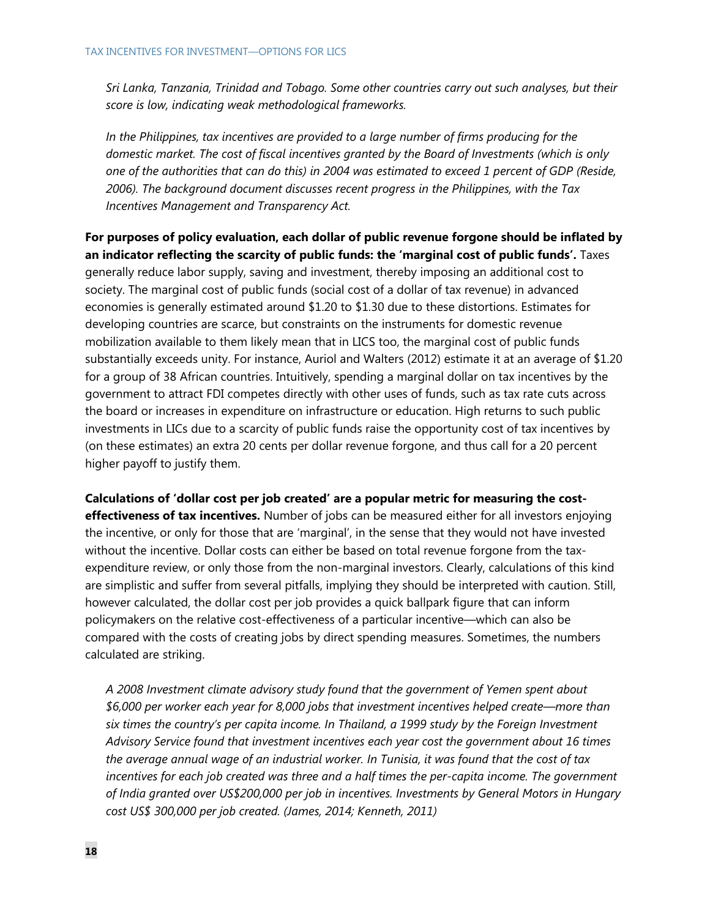*Sri Lanka, Tanzania, Trinidad and Tobago. Some other countries carry out such analyses, but their score is low, indicating weak methodological frameworks.* 

*In the Philippines, tax incentives are provided to a large number of firms producing for the domestic market. The cost of fiscal incentives granted by the Board of Investments (which is only one of the authorities that can do this) in 2004 was estimated to exceed 1 percent of GDP (Reside, 2006). The background document discusses recent progress in the Philippines, with the Tax Incentives Management and Transparency Act.* 

**For purposes of policy evaluation, each dollar of public revenue forgone should be inflated by an indicator reflecting the scarcity of public funds: the 'marginal cost of public funds'.** Taxes generally reduce labor supply, saving and investment, thereby imposing an additional cost to society. The marginal cost of public funds (social cost of a dollar of tax revenue) in advanced economies is generally estimated around \$1.20 to \$1.30 due to these distortions. Estimates for developing countries are scarce, but constraints on the instruments for domestic revenue mobilization available to them likely mean that in LICS too, the marginal cost of public funds substantially exceeds unity. For instance, Auriol and Walters (2012) estimate it at an average of \$1.20 for a group of 38 African countries. Intuitively, spending a marginal dollar on tax incentives by the government to attract FDI competes directly with other uses of funds, such as tax rate cuts across the board or increases in expenditure on infrastructure or education. High returns to such public investments in LICs due to a scarcity of public funds raise the opportunity cost of tax incentives by (on these estimates) an extra 20 cents per dollar revenue forgone, and thus call for a 20 percent higher payoff to justify them.

**Calculations of 'dollar cost per job created' are a popular metric for measuring the costeffectiveness of tax incentives.** Number of jobs can be measured either for all investors enjoying the incentive, or only for those that are 'marginal', in the sense that they would not have invested without the incentive. Dollar costs can either be based on total revenue forgone from the taxexpenditure review, or only those from the non-marginal investors. Clearly, calculations of this kind are simplistic and suffer from several pitfalls, implying they should be interpreted with caution. Still, however calculated, the dollar cost per job provides a quick ballpark figure that can inform policymakers on the relative cost-effectiveness of a particular incentive—which can also be compared with the costs of creating jobs by direct spending measures. Sometimes, the numbers calculated are striking.

*A 2008 Investment climate advisory study found that the government of Yemen spent about \$6,000 per worker each year for 8,000 jobs that investment incentives helped create—more than six times the country's per capita income. In Thailand, a 1999 study by the Foreign Investment Advisory Service found that investment incentives each year cost the government about 16 times the average annual wage of an industrial worker. In Tunisia, it was found that the cost of tax*  incentives for each job created was three and a half times the per-capita income. The government *of India granted over US\$200,000 per job in incentives. Investments by General Motors in Hungary cost US\$ 300,000 per job created. (James, 2014; Kenneth, 2011)*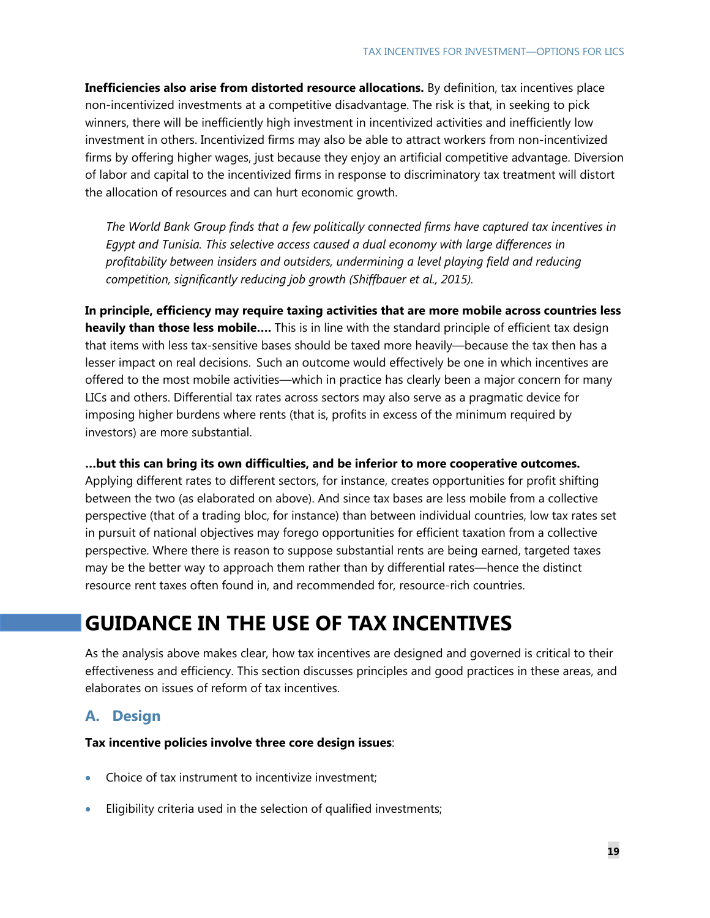**Inefficiencies also arise from distorted resource allocations.** By definition, tax incentives place non-incentivized investments at a competitive disadvantage. The risk is that, in seeking to pick winners, there will be inefficiently high investment in incentivized activities and inefficiently low investment in others. Incentivized firms may also be able to attract workers from non-incentivized firms by offering higher wages, just because they enjoy an artificial competitive advantage. Diversion of labor and capital to the incentivized firms in response to discriminatory tax treatment will distort the allocation of resources and can hurt economic growth.

*The World Bank Group finds that a few politically connected firms have captured tax incentives in Egypt and Tunisia. This selective access caused a dual economy with large differences in profitability between insiders and outsiders, undermining a level playing field and reducing competition, significantly reducing job growth (Shiffbauer et al., 2015).* 

**In principle, efficiency may require taxing activities that are more mobile across countries less heavily than those less mobile….** This is in line with the standard principle of efficient tax design that items with less tax-sensitive bases should be taxed more heavily—because the tax then has a lesser impact on real decisions. Such an outcome would effectively be one in which incentives are offered to the most mobile activities—which in practice has clearly been a major concern for many LICs and others. Differential tax rates across sectors may also serve as a pragmatic device for imposing higher burdens where rents (that is, profits in excess of the minimum required by investors) are more substantial.

**…but this can bring its own difficulties, and be inferior to more cooperative outcomes.** 

Applying different rates to different sectors, for instance, creates opportunities for profit shifting between the two (as elaborated on above). And since tax bases are less mobile from a collective perspective (that of a trading bloc, for instance) than between individual countries, low tax rates set in pursuit of national objectives may forego opportunities for efficient taxation from a collective perspective. Where there is reason to suppose substantial rents are being earned, targeted taxes may be the better way to approach them rather than by differential rates—hence the distinct resource rent taxes often found in, and recommended for, resource-rich countries.

## **GUIDANCE IN THE USE OF TAX INCENTIVES**

As the analysis above makes clear, how tax incentives are designed and governed is critical to their effectiveness and efficiency. This section discusses principles and good practices in these areas, and elaborates on issues of reform of tax incentives.

## **A. Design**

**Tax incentive policies involve three core design issues**:

- Choice of tax instrument to incentivize investment;
- Eligibility criteria used in the selection of qualified investments;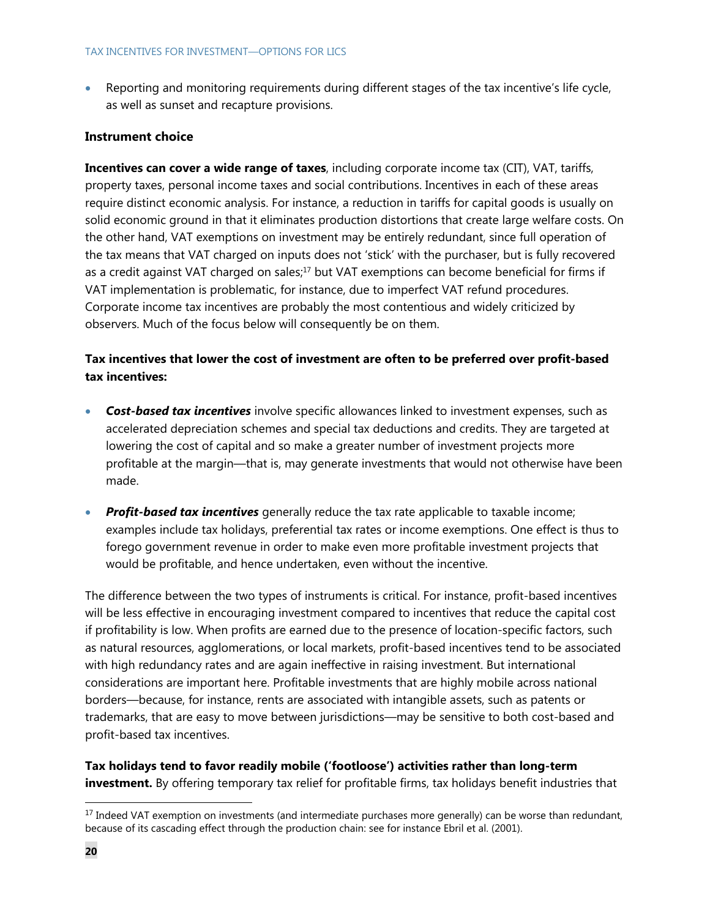Reporting and monitoring requirements during different stages of the tax incentive's life cycle, as well as sunset and recapture provisions.

### **Instrument choice**

**Incentives can cover a wide range of taxes**, including corporate income tax (CIT), VAT, tariffs, property taxes, personal income taxes and social contributions. Incentives in each of these areas require distinct economic analysis. For instance, a reduction in tariffs for capital goods is usually on solid economic ground in that it eliminates production distortions that create large welfare costs. On the other hand, VAT exemptions on investment may be entirely redundant, since full operation of the tax means that VAT charged on inputs does not 'stick' with the purchaser, but is fully recovered as a credit against VAT charged on sales;<sup>17</sup> but VAT exemptions can become beneficial for firms if VAT implementation is problematic, for instance, due to imperfect VAT refund procedures. Corporate income tax incentives are probably the most contentious and widely criticized by observers. Much of the focus below will consequently be on them.

## **Tax incentives that lower the cost of investment are often to be preferred over profit-based tax incentives:**

- *Cost-based tax incentives* involve specific allowances linked to investment expenses, such as accelerated depreciation schemes and special tax deductions and credits. They are targeted at lowering the cost of capital and so make a greater number of investment projects more profitable at the margin—that is, may generate investments that would not otherwise have been made.
- **Profit-based tax incentives** generally reduce the tax rate applicable to taxable income; examples include tax holidays, preferential tax rates or income exemptions. One effect is thus to forego government revenue in order to make even more profitable investment projects that would be profitable, and hence undertaken, even without the incentive.

The difference between the two types of instruments is critical. For instance, profit-based incentives will be less effective in encouraging investment compared to incentives that reduce the capital cost if profitability is low. When profits are earned due to the presence of location-specific factors, such as natural resources, agglomerations, or local markets, profit-based incentives tend to be associated with high redundancy rates and are again ineffective in raising investment. But international considerations are important here. Profitable investments that are highly mobile across national borders—because, for instance, rents are associated with intangible assets, such as patents or trademarks, that are easy to move between jurisdictions—may be sensitive to both cost-based and profit-based tax incentives.

**Tax holidays tend to favor readily mobile ('footloose') activities rather than long-term investment.** By offering temporary tax relief for profitable firms, tax holidays benefit industries that

<sup>&</sup>lt;sup>17</sup> Indeed VAT exemption on investments (and intermediate purchases more generally) can be worse than redundant, because of its cascading effect through the production chain: see for instance Ebril et al. (2001).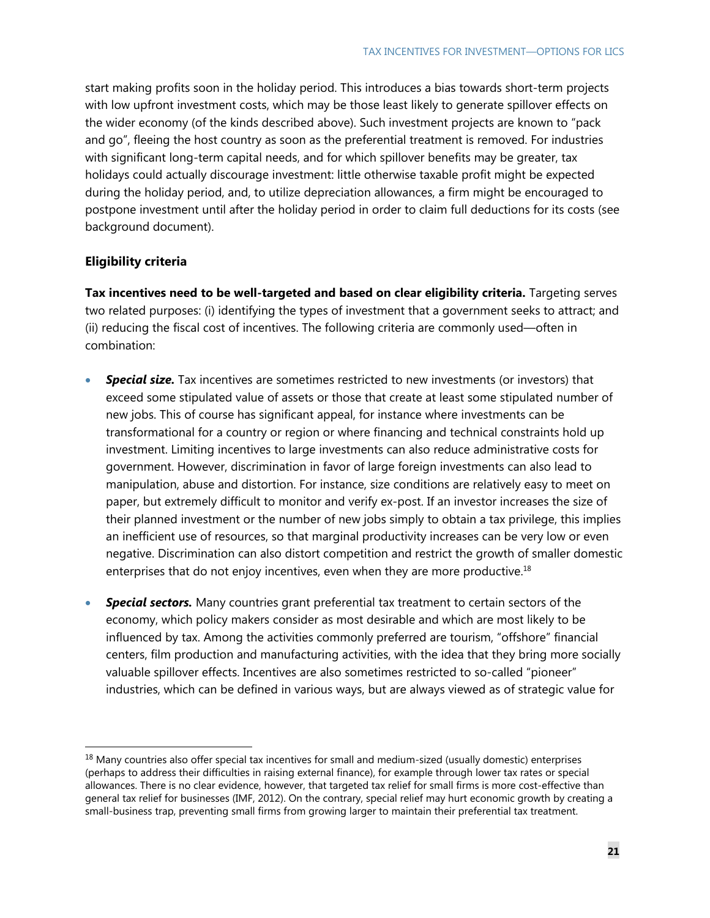start making profits soon in the holiday period. This introduces a bias towards short-term projects with low upfront investment costs, which may be those least likely to generate spillover effects on the wider economy (of the kinds described above). Such investment projects are known to "pack and go", fleeing the host country as soon as the preferential treatment is removed. For industries with significant long-term capital needs, and for which spillover benefits may be greater, tax holidays could actually discourage investment: little otherwise taxable profit might be expected during the holiday period, and, to utilize depreciation allowances, a firm might be encouraged to postpone investment until after the holiday period in order to claim full deductions for its costs (see background document).

### **Eligibility criteria**

-

**Tax incentives need to be well-targeted and based on clear eligibility criteria.** Targeting serves two related purposes: (i) identifying the types of investment that a government seeks to attract; and (ii) reducing the fiscal cost of incentives. The following criteria are commonly used—often in combination:

- **Special size.** Tax incentives are sometimes restricted to new investments (or investors) that exceed some stipulated value of assets or those that create at least some stipulated number of new jobs. This of course has significant appeal, for instance where investments can be transformational for a country or region or where financing and technical constraints hold up investment. Limiting incentives to large investments can also reduce administrative costs for government. However, discrimination in favor of large foreign investments can also lead to manipulation, abuse and distortion. For instance, size conditions are relatively easy to meet on paper, but extremely difficult to monitor and verify ex-post. If an investor increases the size of their planned investment or the number of new jobs simply to obtain a tax privilege, this implies an inefficient use of resources, so that marginal productivity increases can be very low or even negative. Discrimination can also distort competition and restrict the growth of smaller domestic enterprises that do not enjoy incentives, even when they are more productive. $18$
- *Special sectors.* Many countries grant preferential tax treatment to certain sectors of the economy, which policy makers consider as most desirable and which are most likely to be influenced by tax. Among the activities commonly preferred are tourism, "offshore" financial centers, film production and manufacturing activities, with the idea that they bring more socially valuable spillover effects. Incentives are also sometimes restricted to so-called "pioneer" industries, which can be defined in various ways, but are always viewed as of strategic value for

 $18$  Many countries also offer special tax incentives for small and medium-sized (usually domestic) enterprises (perhaps to address their difficulties in raising external finance), for example through lower tax rates or special allowances. There is no clear evidence, however, that targeted tax relief for small firms is more cost-effective than general tax relief for businesses (IMF, 2012). On the contrary, special relief may hurt economic growth by creating a small-business trap, preventing small firms from growing larger to maintain their preferential tax treatment.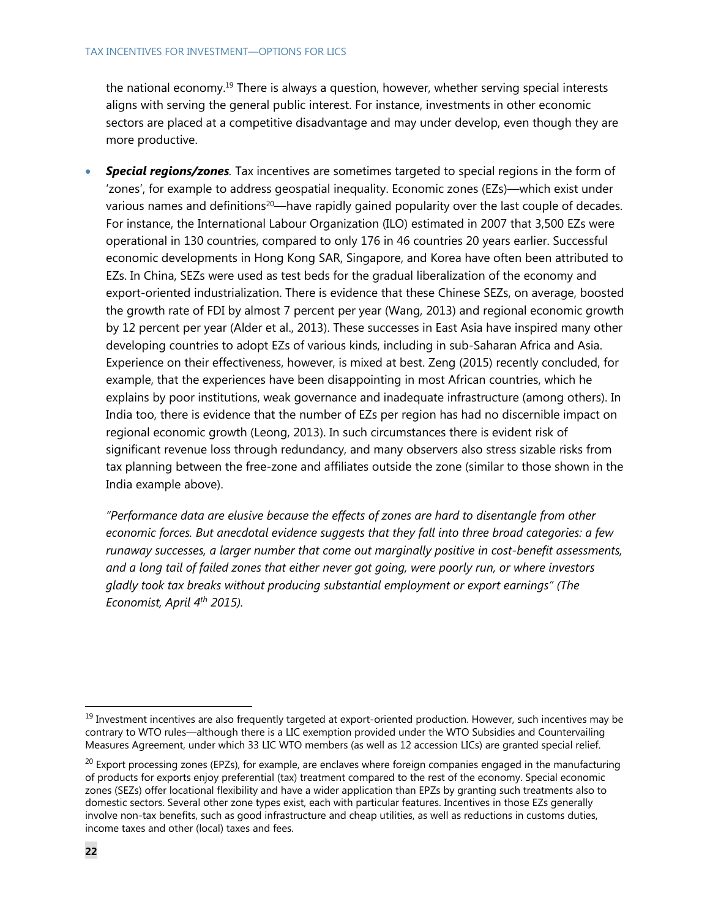the national economy.19 There is always a question, however, whether serving special interests aligns with serving the general public interest. For instance, investments in other economic sectors are placed at a competitive disadvantage and may under develop, even though they are more productive.

**Special regions/zones**. Tax incentives are sometimes targeted to special regions in the form of 'zones', for example to address geospatial inequality. Economic zones (EZs)—which exist under various names and definitions<sup>20</sup>—have rapidly gained popularity over the last couple of decades. For instance, the International Labour Organization (ILO) estimated in 2007 that 3,500 EZs were operational in 130 countries, compared to only 176 in 46 countries 20 years earlier. Successful economic developments in Hong Kong SAR, Singapore, and Korea have often been attributed to EZs. In China, SEZs were used as test beds for the gradual liberalization of the economy and export-oriented industrialization. There is evidence that these Chinese SEZs, on average, boosted the growth rate of FDI by almost 7 percent per year (Wang, 2013) and regional economic growth by 12 percent per year (Alder et al., 2013). These successes in East Asia have inspired many other developing countries to adopt EZs of various kinds, including in sub-Saharan Africa and Asia. Experience on their effectiveness, however, is mixed at best. Zeng (2015) recently concluded, for example, that the experiences have been disappointing in most African countries, which he explains by poor institutions, weak governance and inadequate infrastructure (among others). In India too, there is evidence that the number of EZs per region has had no discernible impact on regional economic growth (Leong, 2013). In such circumstances there is evident risk of significant revenue loss through redundancy, and many observers also stress sizable risks from tax planning between the free-zone and affiliates outside the zone (similar to those shown in the India example above).

*"Performance data are elusive because the effects of zones are hard to disentangle from other economic forces. But anecdotal evidence suggests that they fall into three broad categories: a few runaway successes, a larger number that come out marginally positive in cost-benefit assessments, and a long tail of failed zones that either never got going, were poorly run, or where investors gladly took tax breaks without producing substantial employment or export earnings" (The Economist, April 4th 2015).* 

<sup>&</sup>lt;sup>19</sup> Investment incentives are also frequently targeted at export-oriented production. However, such incentives may be contrary to WTO rules—although there is a LIC exemption provided under the WTO Subsidies and Countervailing Measures Agreement, under which 33 LIC WTO members (as well as 12 accession LICs) are granted special relief.

 $^{20}$  Export processing zones (EPZs), for example, are enclaves where foreign companies engaged in the manufacturing of products for exports enjoy preferential (tax) treatment compared to the rest of the economy. Special economic zones (SEZs) offer locational flexibility and have a wider application than EPZs by granting such treatments also to domestic sectors. Several other zone types exist, each with particular features. Incentives in those EZs generally involve non-tax benefits, such as good infrastructure and cheap utilities, as well as reductions in customs duties, income taxes and other (local) taxes and fees.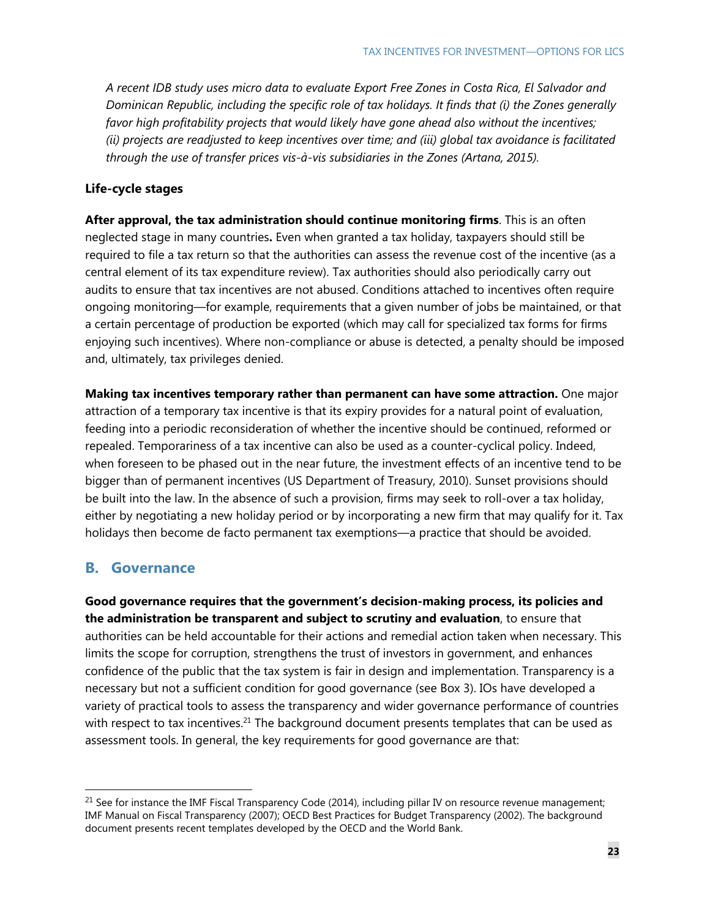*A recent IDB study uses micro data to evaluate Export Free Zones in Costa Rica, El Salvador and Dominican Republic, including the specific role of tax holidays. It finds that (i) the Zones generally favor high profitability projects that would likely have gone ahead also without the incentives; (ii) projects are readjusted to keep incentives over time; and (iii) global tax avoidance is facilitated through the use of transfer prices vis-à-vis subsidiaries in the Zones (Artana, 2015).* 

### **Life-cycle stages**

**After approval, the tax administration should continue monitoring firms**. This is an often neglected stage in many countries**.** Even when granted a tax holiday, taxpayers should still be required to file a tax return so that the authorities can assess the revenue cost of the incentive (as a central element of its tax expenditure review). Tax authorities should also periodically carry out audits to ensure that tax incentives are not abused. Conditions attached to incentives often require ongoing monitoring—for example, requirements that a given number of jobs be maintained, or that a certain percentage of production be exported (which may call for specialized tax forms for firms enjoying such incentives). Where non-compliance or abuse is detected, a penalty should be imposed and, ultimately, tax privileges denied.

**Making tax incentives temporary rather than permanent can have some attraction.** One major attraction of a temporary tax incentive is that its expiry provides for a natural point of evaluation, feeding into a periodic reconsideration of whether the incentive should be continued, reformed or repealed. Temporariness of a tax incentive can also be used as a counter-cyclical policy. Indeed, when foreseen to be phased out in the near future, the investment effects of an incentive tend to be bigger than of permanent incentives (US Department of Treasury, 2010). Sunset provisions should be built into the law. In the absence of such a provision, firms may seek to roll-over a tax holiday, either by negotiating a new holiday period or by incorporating a new firm that may qualify for it. Tax holidays then become de facto permanent tax exemptions—a practice that should be avoided.

## **B. Governance**

-

**Good governance requires that the government's decision-making process, its policies and the administration be transparent and subject to scrutiny and evaluation**, to ensure that authorities can be held accountable for their actions and remedial action taken when necessary. This limits the scope for corruption, strengthens the trust of investors in government, and enhances confidence of the public that the tax system is fair in design and implementation. Transparency is a necessary but not a sufficient condition for good governance (see Box 3). IOs have developed a variety of practical tools to assess the transparency and wider governance performance of countries with respect to tax incentives.<sup>21</sup> The background document presents templates that can be used as assessment tools. In general, the key requirements for good governance are that:

 $21$  See for instance the IMF Fiscal Transparency Code (2014), including pillar IV on resource revenue management; IMF Manual on Fiscal Transparency (2007); OECD Best Practices for Budget Transparency (2002). The background document presents recent templates developed by the OECD and the World Bank.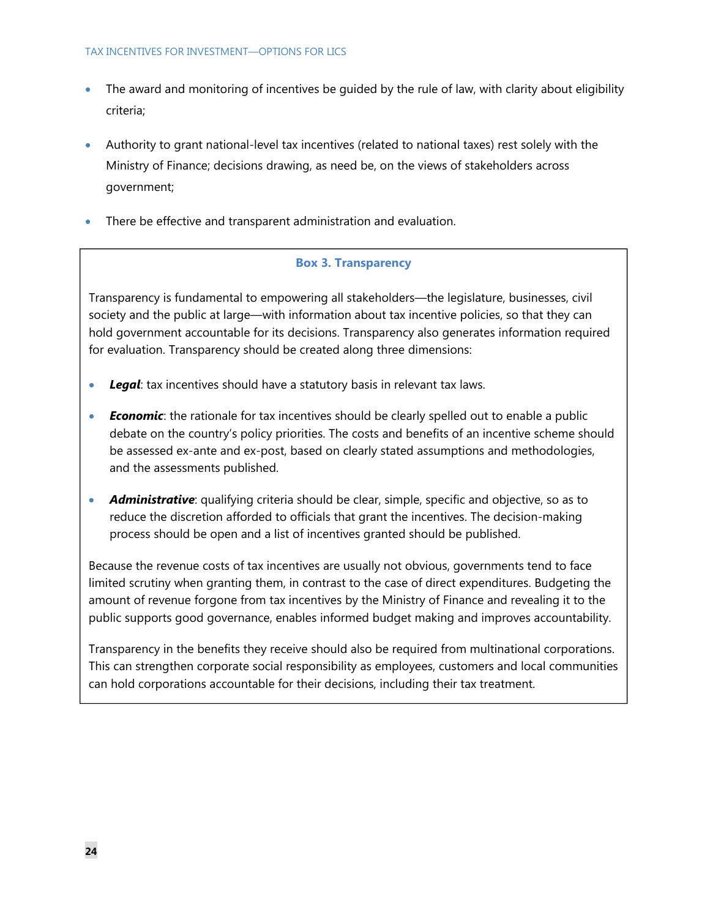#### TAX INCENTIVES FOR INVESTMENT—OPTIONS FOR LICS

- The award and monitoring of incentives be guided by the rule of law, with clarity about eligibility criteria;
- Authority to grant national-level tax incentives (related to national taxes) rest solely with the Ministry of Finance; decisions drawing, as need be, on the views of stakeholders across government;
- There be effective and transparent administration and evaluation.

## **Box 3. Transparency**

Transparency is fundamental to empowering all stakeholders—the legislature, businesses, civil society and the public at large—with information about tax incentive policies, so that they can hold government accountable for its decisions. Transparency also generates information required for evaluation. Transparency should be created along three dimensions:

- *Legal*: tax incentives should have a statutory basis in relevant tax laws.
- *Economic*: the rationale for tax incentives should be clearly spelled out to enable a public debate on the country's policy priorities. The costs and benefits of an incentive scheme should be assessed ex-ante and ex-post, based on clearly stated assumptions and methodologies, and the assessments published.
- **Administrative**: qualifying criteria should be clear, simple, specific and objective, so as to reduce the discretion afforded to officials that grant the incentives. The decision-making process should be open and a list of incentives granted should be published.

Because the revenue costs of tax incentives are usually not obvious, governments tend to face limited scrutiny when granting them, in contrast to the case of direct expenditures. Budgeting the amount of revenue forgone from tax incentives by the Ministry of Finance and revealing it to the public supports good governance, enables informed budget making and improves accountability.

Transparency in the benefits they receive should also be required from multinational corporations. This can strengthen corporate social responsibility as employees, customers and local communities can hold corporations accountable for their decisions, including their tax treatment.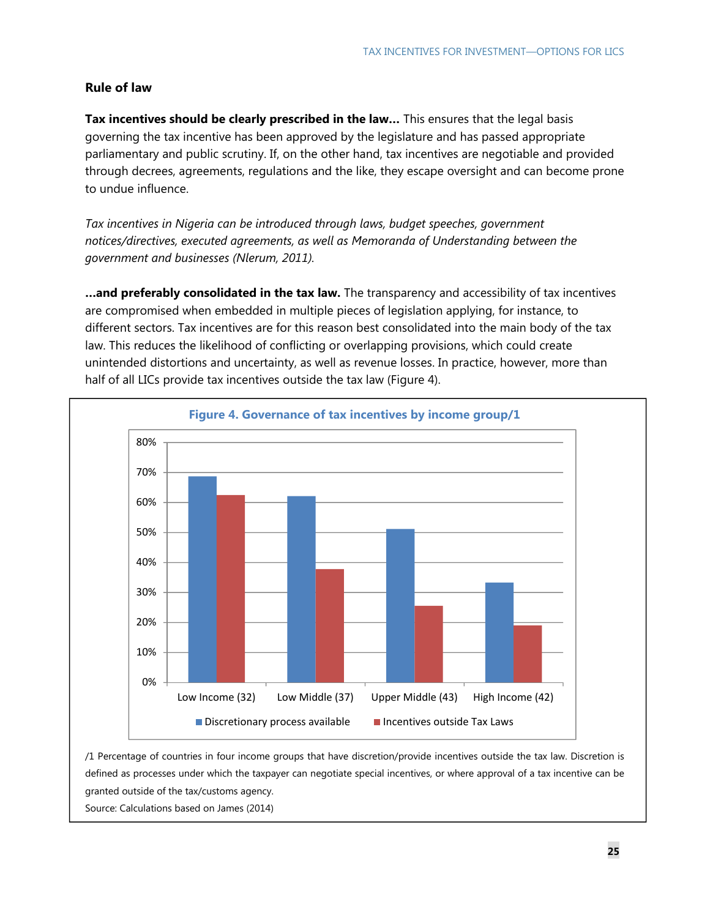### **Rule of law**

**Tax incentives should be clearly prescribed in the law…** This ensures that the legal basis governing the tax incentive has been approved by the legislature and has passed appropriate parliamentary and public scrutiny. If, on the other hand, tax incentives are negotiable and provided through decrees, agreements, regulations and the like, they escape oversight and can become prone to undue influence.

*Tax incentives in Nigeria can be introduced through laws, budget speeches, government notices/directives, executed agreements, as well as Memoranda of Understanding between the government and businesses (Nlerum, 2011).*

**…and preferably consolidated in the tax law.** The transparency and accessibility of tax incentives are compromised when embedded in multiple pieces of legislation applying, for instance, to different sectors. Tax incentives are for this reason best consolidated into the main body of the tax law. This reduces the likelihood of conflicting or overlapping provisions, which could create unintended distortions and uncertainty, as well as revenue losses. In practice, however, more than half of all LICs provide tax incentives outside the tax law (Figure 4).



/1 Percentage of countries in four income groups that have discretion/provide incentives outside the tax law. Discretion is defined as processes under which the taxpayer can negotiate special incentives, or where approval of a tax incentive can be granted outside of the tax/customs agency.

Source: Calculations based on James (2014)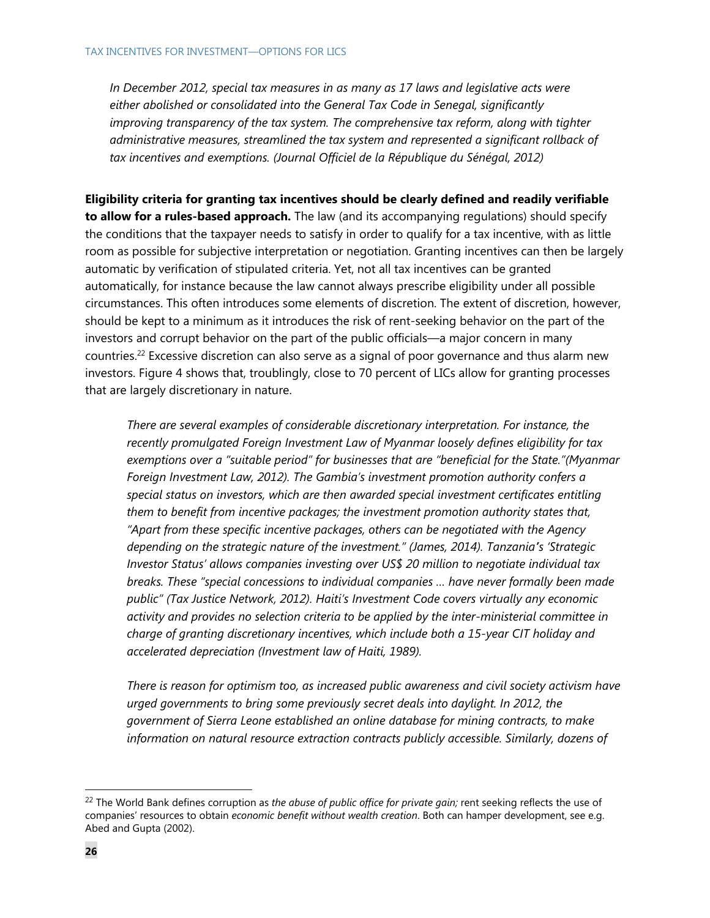*In December 2012, special tax measures in as many as 17 laws and legislative acts were either abolished or consolidated into the General Tax Code in Senegal, significantly improving transparency of the tax system. The comprehensive tax reform, along with tighter administrative measures, streamlined the tax system and represented a significant rollback of*  tax incentives and exemptions. (Journal Officiel de la République du Sénégal, 2012)

**Eligibility criteria for granting tax incentives should be clearly defined and readily verifiable to allow for a rules-based approach.** The law (and its accompanying regulations) should specify the conditions that the taxpayer needs to satisfy in order to qualify for a tax incentive, with as little room as possible for subjective interpretation or negotiation. Granting incentives can then be largely automatic by verification of stipulated criteria. Yet, not all tax incentives can be granted automatically, for instance because the law cannot always prescribe eligibility under all possible circumstances. This often introduces some elements of discretion. The extent of discretion, however, should be kept to a minimum as it introduces the risk of rent-seeking behavior on the part of the investors and corrupt behavior on the part of the public officials—a major concern in many countries.<sup>22</sup> Excessive discretion can also serve as a signal of poor governance and thus alarm new investors. Figure 4 shows that, troublingly, close to 70 percent of LICs allow for granting processes that are largely discretionary in nature.

*There are several examples of considerable discretionary interpretation. For instance, the recently promulgated Foreign Investment Law of Myanmar loosely defines eligibility for tax exemptions over a "suitable period" for businesses that are "beneficial for the State."(Myanmar Foreign Investment Law, 2012). The Gambia's investment promotion authority confers a special status on investors, which are then awarded special investment certificates entitling them to benefit from incentive packages; the investment promotion authority states that, "Apart from these specific incentive packages, others can be negotiated with the Agency depending on the strategic nature of the investment." (James, 2014). Tanzania's 'Strategic Investor Status' allows companies investing over US\$ 20 million to negotiate individual tax breaks. These "special concessions to individual companies … have never formally been made public" (Tax Justice Network, 2012). Haiti's Investment Code covers virtually any economic activity and provides no selection criteria to be applied by the inter-ministerial committee in charge of granting discretionary incentives, which include both a 15-year CIT holiday and accelerated depreciation (Investment law of Haiti, 1989).* 

*There is reason for optimism too, as increased public awareness and civil society activism have urged governments to bring some previously secret deals into daylight. In 2012, the government of Sierra Leone established an online database for mining contracts, to make information on natural resource extraction contracts publicly accessible. Similarly, dozens of* 

<sup>&</sup>lt;sup>22</sup> The World Bank defines corruption as the abuse of public office for private gain; rent seeking reflects the use of companies' resources to obtain *economic benefit without wealth creation*. Both can hamper development, see e.g. Abed and Gupta (2002).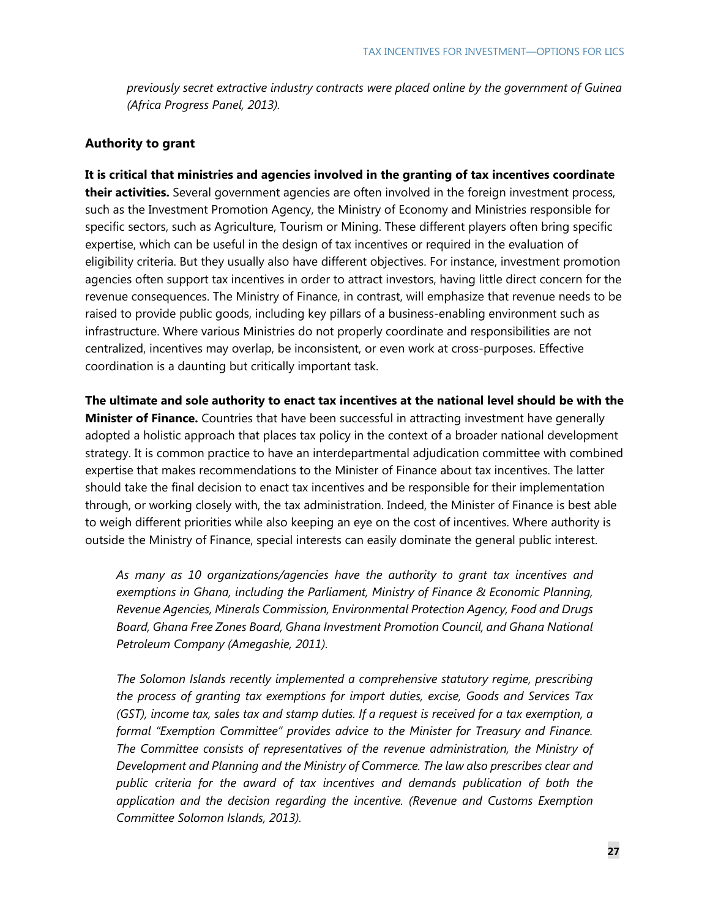*previously secret extractive industry contracts were placed online by the government of Guinea (Africa Progress Panel, 2013).* 

### **Authority to grant**

**It is critical that ministries and agencies involved in the granting of tax incentives coordinate their activities.** Several government agencies are often involved in the foreign investment process, such as the Investment Promotion Agency, the Ministry of Economy and Ministries responsible for specific sectors, such as Agriculture, Tourism or Mining. These different players often bring specific expertise, which can be useful in the design of tax incentives or required in the evaluation of eligibility criteria. But they usually also have different objectives. For instance, investment promotion agencies often support tax incentives in order to attract investors, having little direct concern for the revenue consequences. The Ministry of Finance, in contrast, will emphasize that revenue needs to be raised to provide public goods, including key pillars of a business-enabling environment such as infrastructure. Where various Ministries do not properly coordinate and responsibilities are not centralized, incentives may overlap, be inconsistent, or even work at cross-purposes. Effective coordination is a daunting but critically important task.

**The ultimate and sole authority to enact tax incentives at the national level should be with the Minister of Finance.** Countries that have been successful in attracting investment have generally adopted a holistic approach that places tax policy in the context of a broader national development strategy. It is common practice to have an interdepartmental adjudication committee with combined expertise that makes recommendations to the Minister of Finance about tax incentives. The latter should take the final decision to enact tax incentives and be responsible for their implementation through, or working closely with, the tax administration. Indeed, the Minister of Finance is best able to weigh different priorities while also keeping an eye on the cost of incentives. Where authority is outside the Ministry of Finance, special interests can easily dominate the general public interest.

*As many as 10 organizations/agencies have the authority to grant tax incentives and exemptions in Ghana, including the Parliament, Ministry of Finance & Economic Planning, Revenue Agencies, Minerals Commission, Environmental Protection Agency, Food and Drugs Board, Ghana Free Zones Board, Ghana Investment Promotion Council, and Ghana National Petroleum Company (Amegashie, 2011).* 

*The Solomon Islands recently implemented a comprehensive statutory regime, prescribing the process of granting tax exemptions for import duties, excise, Goods and Services Tax (GST), income tax, sales tax and stamp duties. If a request is received for a tax exemption, a formal "Exemption Committee" provides advice to the Minister for Treasury and Finance. The Committee consists of representatives of the revenue administration, the Ministry of Development and Planning and the Ministry of Commerce. The law also prescribes clear and public criteria for the award of tax incentives and demands publication of both the application and the decision regarding the incentive. (Revenue and Customs Exemption Committee Solomon Islands, 2013).*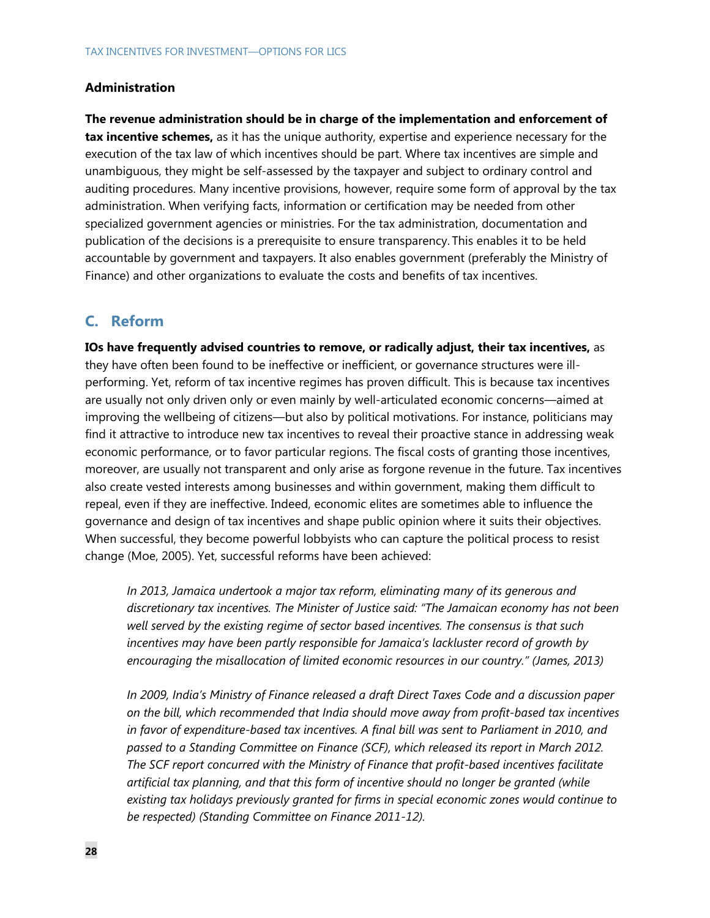### **Administration**

**The revenue administration should be in charge of the implementation and enforcement of tax incentive schemes,** as it has the unique authority, expertise and experience necessary for the execution of the tax law of which incentives should be part. Where tax incentives are simple and unambiguous, they might be self-assessed by the taxpayer and subject to ordinary control and auditing procedures. Many incentive provisions, however, require some form of approval by the tax administration. When verifying facts, information or certification may be needed from other specialized government agencies or ministries. For the tax administration, documentation and publication of the decisions is a prerequisite to ensure transparency. This enables it to be held accountable by government and taxpayers. It also enables government (preferably the Ministry of Finance) and other organizations to evaluate the costs and benefits of tax incentives.

## **C. Reform**

**IOs have frequently advised countries to remove, or radically adjust, their tax incentives,** as they have often been found to be ineffective or inefficient, or governance structures were illperforming. Yet, reform of tax incentive regimes has proven difficult. This is because tax incentives are usually not only driven only or even mainly by well-articulated economic concerns—aimed at improving the wellbeing of citizens—but also by political motivations. For instance, politicians may find it attractive to introduce new tax incentives to reveal their proactive stance in addressing weak economic performance, or to favor particular regions. The fiscal costs of granting those incentives, moreover, are usually not transparent and only arise as forgone revenue in the future. Tax incentives also create vested interests among businesses and within government, making them difficult to repeal, even if they are ineffective. Indeed, economic elites are sometimes able to influence the governance and design of tax incentives and shape public opinion where it suits their objectives. When successful, they become powerful lobbyists who can capture the political process to resist change (Moe, 2005). Yet, successful reforms have been achieved:

*In 2013, Jamaica undertook a major tax reform, eliminating many of its generous and discretionary tax incentives. The Minister of Justice said: "The Jamaican economy has not been well served by the existing regime of sector based incentives. The consensus is that such incentives may have been partly responsible for Jamaica's lackluster record of growth by encouraging the misallocation of limited economic resources in our country." (James, 2013)* 

*In 2009, India's Ministry of Finance released a draft Direct Taxes Code and a discussion paper on the bill, which recommended that India should move away from profit-based tax incentives in favor of expenditure-based tax incentives. A final bill was sent to Parliament in 2010, and passed to a Standing Committee on Finance (SCF), which released its report in March 2012. The SCF report concurred with the Ministry of Finance that profit-based incentives facilitate artificial tax planning, and that this form of incentive should no longer be granted (while existing tax holidays previously granted for firms in special economic zones would continue to be respected) (Standing Committee on Finance 2011-12).*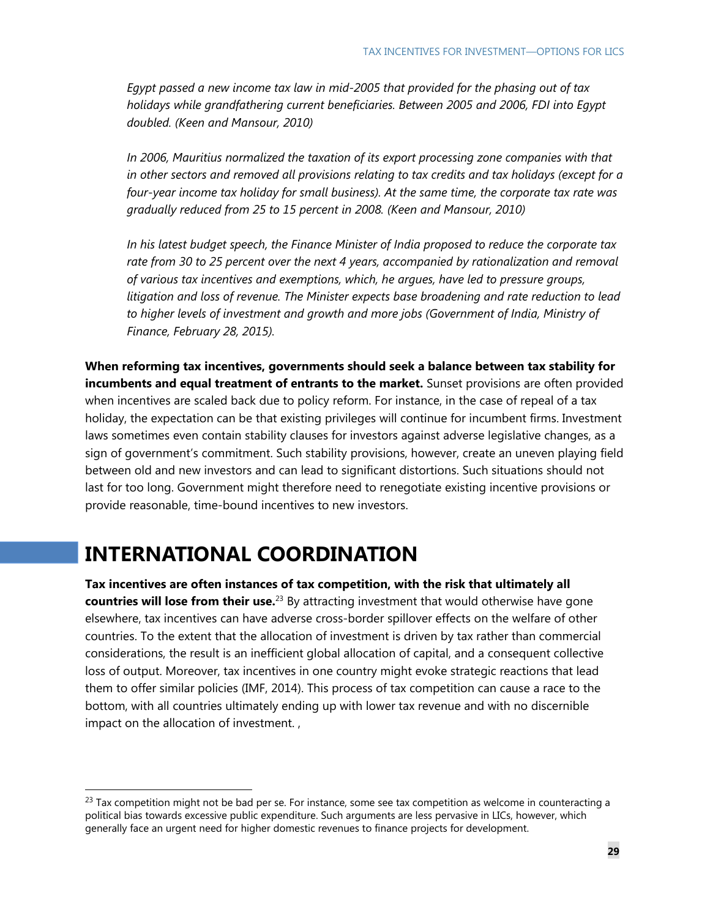*Egypt passed a new income tax law in mid-2005 that provided for the phasing out of tax holidays while grandfathering current beneficiaries. Between 2005 and 2006, FDI into Egypt doubled. (Keen and Mansour, 2010)* 

*In 2006, Mauritius normalized the taxation of its export processing zone companies with that in other sectors and removed all provisions relating to tax credits and tax holidays (except for a four-year income tax holiday for small business). At the same time, the corporate tax rate was gradually reduced from 25 to 15 percent in 2008. (Keen and Mansour, 2010)* 

*In his latest budget speech, the Finance Minister of India proposed to reduce the corporate tax rate from 30 to 25 percent over the next 4 years, accompanied by rationalization and removal of various tax incentives and exemptions, which, he argues, have led to pressure groups, litigation and loss of revenue. The Minister expects base broadening and rate reduction to lead to higher levels of investment and growth and more jobs (Government of India, Ministry of Finance, February 28, 2015).* 

**When reforming tax incentives, governments should seek a balance between tax stability for incumbents and equal treatment of entrants to the market.** Sunset provisions are often provided when incentives are scaled back due to policy reform. For instance, in the case of repeal of a tax holiday, the expectation can be that existing privileges will continue for incumbent firms. Investment laws sometimes even contain stability clauses for investors against adverse legislative changes, as a sign of government's commitment. Such stability provisions, however, create an uneven playing field between old and new investors and can lead to significant distortions. Such situations should not last for too long. Government might therefore need to renegotiate existing incentive provisions or provide reasonable, time-bound incentives to new investors.

## **INTERNATIONAL COORDINATION**

-

**Tax incentives are often instances of tax competition, with the risk that ultimately all countries will lose from their use.**23 By attracting investment that would otherwise have gone elsewhere, tax incentives can have adverse cross-border spillover effects on the welfare of other countries. To the extent that the allocation of investment is driven by tax rather than commercial considerations, the result is an inefficient global allocation of capital, and a consequent collective loss of output. Moreover, tax incentives in one country might evoke strategic reactions that lead them to offer similar policies (IMF, 2014). This process of tax competition can cause a race to the bottom, with all countries ultimately ending up with lower tax revenue and with no discernible impact on the allocation of investment. ,

 $^{23}$  Tax competition might not be bad per se. For instance, some see tax competition as welcome in counteracting a political bias towards excessive public expenditure. Such arguments are less pervasive in LICs, however, which generally face an urgent need for higher domestic revenues to finance projects for development.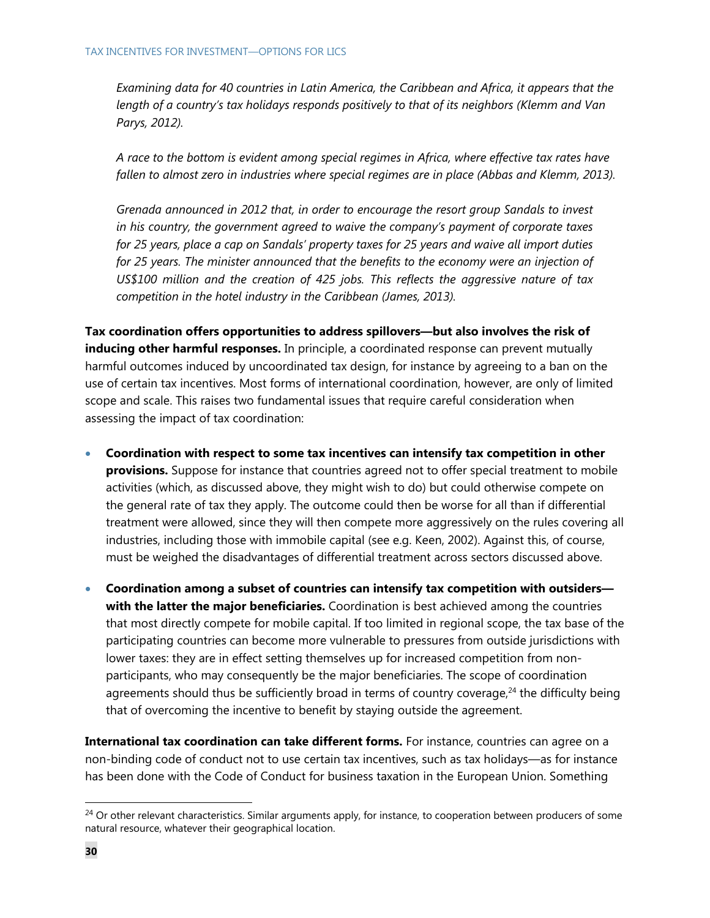*Examining data for 40 countries in Latin America, the Caribbean and Africa, it appears that the length of a country's tax holidays responds positively to that of its neighbors (Klemm and Van Parys, 2012).* 

*A race to the bottom is evident among special regimes in Africa, where effective tax rates have fallen to almost zero in industries where special regimes are in place (Abbas and Klemm, 2013).* 

*Grenada announced in 2012 that, in order to encourage the resort group Sandals to invest in his country, the government agreed to waive the company's payment of corporate taxes for 25 years, place a cap on Sandals' property taxes for 25 years and waive all import duties*  for 25 years. The minister announced that the benefits to the economy were an injection of *US\$100 million and the creation of 425 jobs. This reflects the aggressive nature of tax competition in the hotel industry in the Caribbean (James, 2013).* 

**Tax coordination offers opportunities to address spillovers—but also involves the risk of inducing other harmful responses.** In principle, a coordinated response can prevent mutually harmful outcomes induced by uncoordinated tax design, for instance by agreeing to a ban on the use of certain tax incentives. Most forms of international coordination, however, are only of limited scope and scale. This raises two fundamental issues that require careful consideration when assessing the impact of tax coordination:

- **Coordination with respect to some tax incentives can intensify tax competition in other provisions.** Suppose for instance that countries agreed not to offer special treatment to mobile activities (which, as discussed above, they might wish to do) but could otherwise compete on the general rate of tax they apply. The outcome could then be worse for all than if differential treatment were allowed, since they will then compete more aggressively on the rules covering all industries, including those with immobile capital (see e.g. Keen, 2002). Against this, of course, must be weighed the disadvantages of differential treatment across sectors discussed above.
- **Coordination among a subset of countries can intensify tax competition with outsiders with the latter the major beneficiaries.** Coordination is best achieved among the countries that most directly compete for mobile capital. If too limited in regional scope, the tax base of the participating countries can become more vulnerable to pressures from outside jurisdictions with lower taxes: they are in effect setting themselves up for increased competition from nonparticipants, who may consequently be the major beneficiaries. The scope of coordination agreements should thus be sufficiently broad in terms of country coverage, $24$  the difficulty being that of overcoming the incentive to benefit by staying outside the agreement.

**International tax coordination can take different forms.** For instance, countries can agree on a non-binding code of conduct not to use certain tax incentives, such as tax holidays—as for instance has been done with the Code of Conduct for business taxation in the European Union. Something

<sup>&</sup>lt;sup>24</sup> Or other relevant characteristics. Similar arguments apply, for instance, to cooperation between producers of some natural resource, whatever their geographical location.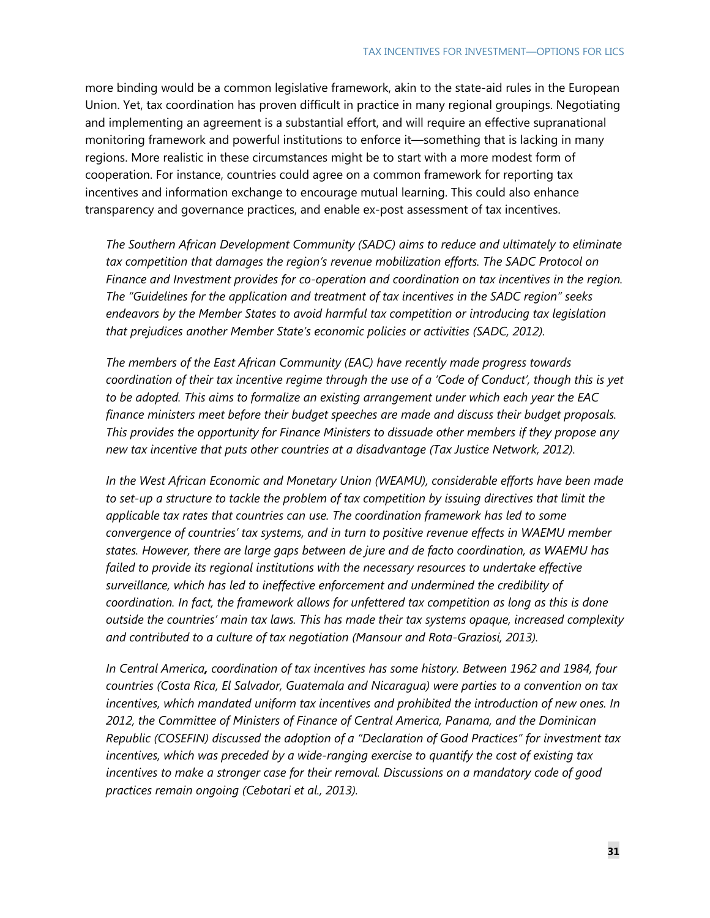more binding would be a common legislative framework, akin to the state-aid rules in the European Union. Yet, tax coordination has proven difficult in practice in many regional groupings. Negotiating and implementing an agreement is a substantial effort, and will require an effective supranational monitoring framework and powerful institutions to enforce it—something that is lacking in many regions. More realistic in these circumstances might be to start with a more modest form of cooperation. For instance, countries could agree on a common framework for reporting tax incentives and information exchange to encourage mutual learning. This could also enhance transparency and governance practices, and enable ex-post assessment of tax incentives.

*The Southern African Development Community (SADC) aims to reduce and ultimately to eliminate tax competition that damages the region's revenue mobilization efforts. The SADC Protocol on Finance and Investment provides for co-operation and coordination on tax incentives in the region. The "Guidelines for the application and treatment of tax incentives in the SADC region" seeks endeavors by the Member States to avoid harmful tax competition or introducing tax legislation that prejudices another Member State's economic policies or activities (SADC, 2012).* 

*The members of the East African Community (EAC) have recently made progress towards coordination of their tax incentive regime through the use of a 'Code of Conduct', though this is yet to be adopted. This aims to formalize an existing arrangement under which each year the EAC finance ministers meet before their budget speeches are made and discuss their budget proposals. This provides the opportunity for Finance Ministers to dissuade other members if they propose any new tax incentive that puts other countries at a disadvantage (Tax Justice Network, 2012).* 

*In the West African Economic and Monetary Union (WEAMU), considerable efforts have been made to set-up a structure to tackle the problem of tax competition by issuing directives that limit the applicable tax rates that countries can use. The coordination framework has led to some convergence of countries' tax systems, and in turn to positive revenue effects in WAEMU member states. However, there are large gaps between de jure and de facto coordination, as WAEMU has failed to provide its regional institutions with the necessary resources to undertake effective surveillance, which has led to ineffective enforcement and undermined the credibility of coordination. In fact, the framework allows for unfettered tax competition as long as this is done outside the countries' main tax laws. This has made their tax systems opaque, increased complexity and contributed to a culture of tax negotiation (Mansour and Rota-Graziosi, 2013).* 

*In Central America, coordination of tax incentives has some history. Between 1962 and 1984, four countries (Costa Rica, El Salvador, Guatemala and Nicaragua) were parties to a convention on tax incentives, which mandated uniform tax incentives and prohibited the introduction of new ones. In 2012, the Committee of Ministers of Finance of Central America, Panama, and the Dominican Republic (COSEFIN) discussed the adoption of a "Declaration of Good Practices" for investment tax incentives, which was preceded by a wide-ranging exercise to quantify the cost of existing tax incentives to make a stronger case for their removal. Discussions on a mandatory code of good practices remain ongoing (Cebotari et al., 2013).*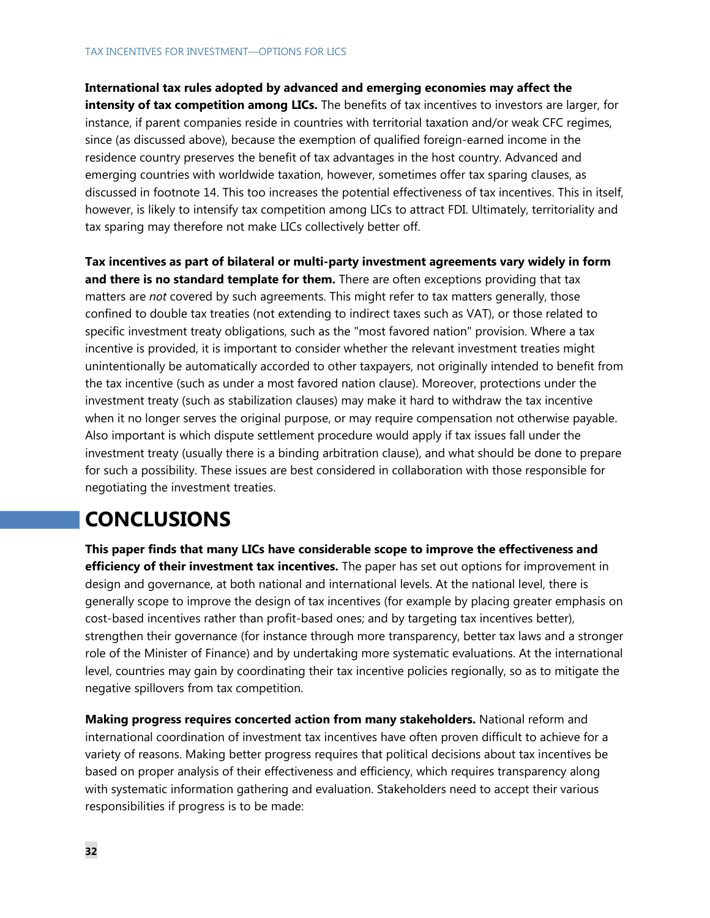### TAX INCENTIVES FOR INVESTMENT—OPTIONS FOR LICS

**International tax rules adopted by advanced and emerging economies may affect the intensity of tax competition among LICs.** The benefits of tax incentives to investors are larger, for instance, if parent companies reside in countries with territorial taxation and/or weak CFC regimes, since (as discussed above), because the exemption of qualified foreign-earned income in the residence country preserves the benefit of tax advantages in the host country. Advanced and emerging countries with worldwide taxation, however, sometimes offer tax sparing clauses, as discussed in footnote 14. This too increases the potential effectiveness of tax incentives. This in itself, however, is likely to intensify tax competition among LICs to attract FDI. Ultimately, territoriality and tax sparing may therefore not make LICs collectively better off.

**Tax incentives as part of bilateral or multi-party investment agreements vary widely in form and there is no standard template for them.** There are often exceptions providing that tax matters are *not* covered by such agreements. This might refer to tax matters generally, those confined to double tax treaties (not extending to indirect taxes such as VAT), or those related to specific investment treaty obligations, such as the "most favored nation" provision. Where a tax incentive is provided, it is important to consider whether the relevant investment treaties might unintentionally be automatically accorded to other taxpayers, not originally intended to benefit from the tax incentive (such as under a most favored nation clause). Moreover, protections under the investment treaty (such as stabilization clauses) may make it hard to withdraw the tax incentive when it no longer serves the original purpose, or may require compensation not otherwise payable. Also important is which dispute settlement procedure would apply if tax issues fall under the investment treaty (usually there is a binding arbitration clause), and what should be done to prepare for such a possibility. These issues are best considered in collaboration with those responsible for negotiating the investment treaties.

## **CONCLUSIONS**

**This paper finds that many LICs have considerable scope to improve the effectiveness and efficiency of their investment tax incentives.** The paper has set out options for improvement in design and governance, at both national and international levels. At the national level, there is generally scope to improve the design of tax incentives (for example by placing greater emphasis on cost-based incentives rather than profit-based ones; and by targeting tax incentives better), strengthen their governance (for instance through more transparency, better tax laws and a stronger role of the Minister of Finance) and by undertaking more systematic evaluations. At the international level, countries may gain by coordinating their tax incentive policies regionally, so as to mitigate the negative spillovers from tax competition.

**Making progress requires concerted action from many stakeholders.** National reform and international coordination of investment tax incentives have often proven difficult to achieve for a variety of reasons. Making better progress requires that political decisions about tax incentives be based on proper analysis of their effectiveness and efficiency, which requires transparency along with systematic information gathering and evaluation. Stakeholders need to accept their various responsibilities if progress is to be made: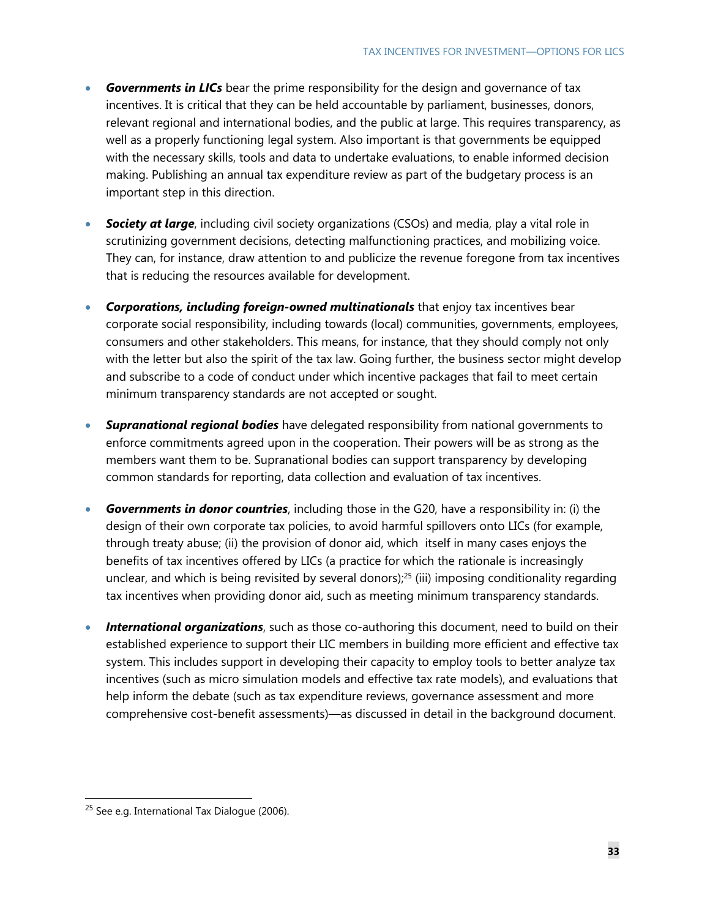- *Governments in LICs* bear the prime responsibility for the design and governance of tax incentives. It is critical that they can be held accountable by parliament, businesses, donors, relevant regional and international bodies, and the public at large. This requires transparency, as well as a properly functioning legal system. Also important is that governments be equipped with the necessary skills, tools and data to undertake evaluations, to enable informed decision making. Publishing an annual tax expenditure review as part of the budgetary process is an important step in this direction.
- *Society at large*, including civil society organizations (CSOs) and media, play a vital role in scrutinizing government decisions, detecting malfunctioning practices, and mobilizing voice. They can, for instance, draw attention to and publicize the revenue foregone from tax incentives that is reducing the resources available for development.
- *Corporations, including foreign-owned multinationals* that enjoy tax incentives bear corporate social responsibility, including towards (local) communities, governments, employees, consumers and other stakeholders. This means, for instance, that they should comply not only with the letter but also the spirit of the tax law. Going further, the business sector might develop and subscribe to a code of conduct under which incentive packages that fail to meet certain minimum transparency standards are not accepted or sought.
- *Supranational regional bodies* have delegated responsibility from national governments to enforce commitments agreed upon in the cooperation. Their powers will be as strong as the members want them to be. Supranational bodies can support transparency by developing common standards for reporting, data collection and evaluation of tax incentives.
- *Governments in donor countries*, including those in the G20, have a responsibility in: (i) the design of their own corporate tax policies, to avoid harmful spillovers onto LICs (for example, through treaty abuse; (ii) the provision of donor aid, which itself in many cases enjoys the benefits of tax incentives offered by LICs (a practice for which the rationale is increasingly unclear, and which is being revisited by several donors); $25$  (iii) imposing conditionality regarding tax incentives when providing donor aid, such as meeting minimum transparency standards.
- **International organizations**, such as those co-authoring this document, need to build on their established experience to support their LIC members in building more efficient and effective tax system. This includes support in developing their capacity to employ tools to better analyze tax incentives (such as micro simulation models and effective tax rate models), and evaluations that help inform the debate (such as tax expenditure reviews, governance assessment and more comprehensive cost-benefit assessments)—as discussed in detail in the background document.

<sup>&</sup>lt;sup>25</sup> See e.g. International Tax Dialogue (2006).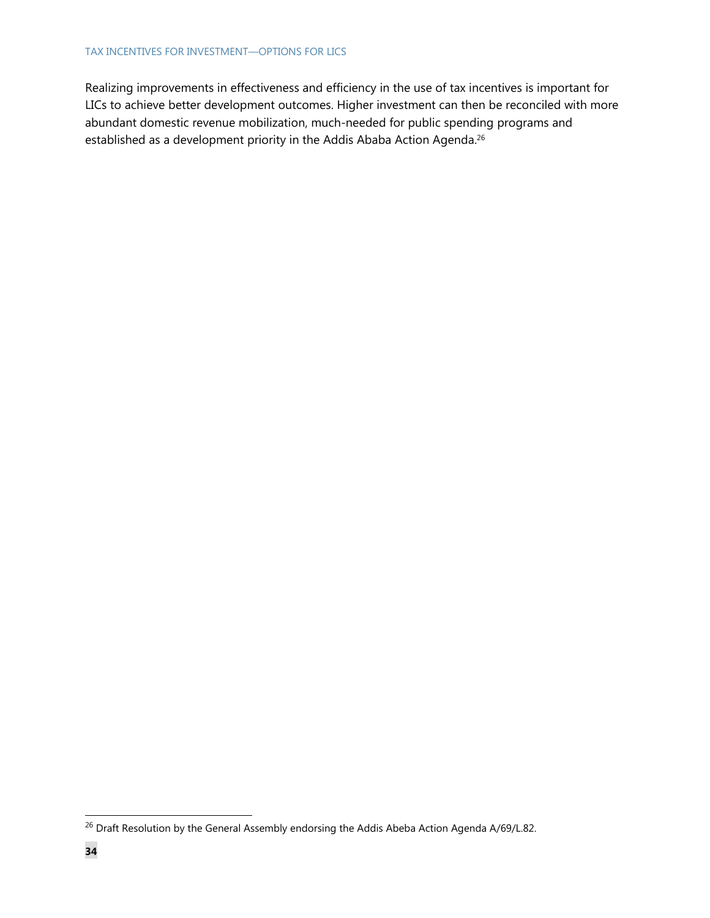### TAX INCENTIVES FOR INVESTMENT—OPTIONS FOR LICS

Realizing improvements in effectiveness and efficiency in the use of tax incentives is important for LICs to achieve better development outcomes. Higher investment can then be reconciled with more abundant domestic revenue mobilization, much-needed for public spending programs and established as a development priority in the Addis Ababa Action Agenda.<sup>26</sup>

<sup>&</sup>lt;sup>26</sup> Draft Resolution by the General Assembly endorsing the Addis Abeba Action Agenda A/69/L.82.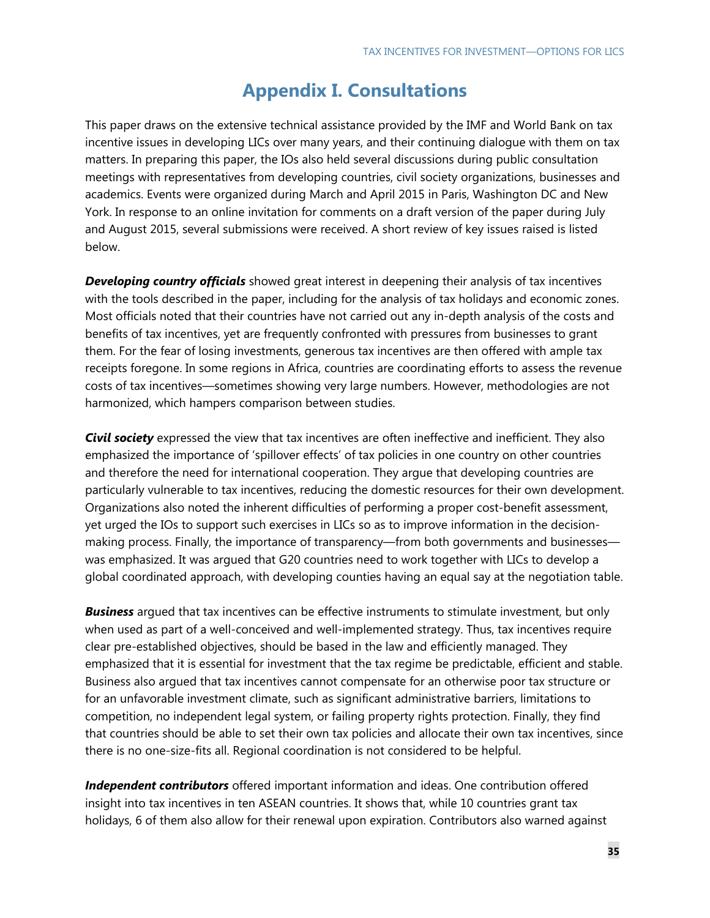## **Appendix I. Consultations**

This paper draws on the extensive technical assistance provided by the IMF and World Bank on tax incentive issues in developing LICs over many years, and their continuing dialogue with them on tax matters. In preparing this paper, the IOs also held several discussions during public consultation meetings with representatives from developing countries, civil society organizations, businesses and academics. Events were organized during March and April 2015 in Paris, Washington DC and New York. In response to an online invitation for comments on a draft version of the paper during July and August 2015, several submissions were received. A short review of key issues raised is listed below.

*Developing country officials* showed great interest in deepening their analysis of tax incentives with the tools described in the paper, including for the analysis of tax holidays and economic zones. Most officials noted that their countries have not carried out any in-depth analysis of the costs and benefits of tax incentives, yet are frequently confronted with pressures from businesses to grant them. For the fear of losing investments, generous tax incentives are then offered with ample tax receipts foregone. In some regions in Africa, countries are coordinating efforts to assess the revenue costs of tax incentives—sometimes showing very large numbers. However, methodologies are not harmonized, which hampers comparison between studies.

*Civil society* expressed the view that tax incentives are often ineffective and inefficient. They also emphasized the importance of 'spillover effects' of tax policies in one country on other countries and therefore the need for international cooperation. They argue that developing countries are particularly vulnerable to tax incentives, reducing the domestic resources for their own development. Organizations also noted the inherent difficulties of performing a proper cost-benefit assessment, yet urged the IOs to support such exercises in LICs so as to improve information in the decisionmaking process. Finally, the importance of transparency—from both governments and businesses was emphasized. It was argued that G20 countries need to work together with LICs to develop a global coordinated approach, with developing counties having an equal say at the negotiation table.

*Business* argued that tax incentives can be effective instruments to stimulate investment, but only when used as part of a well-conceived and well-implemented strategy. Thus, tax incentives require clear pre-established objectives, should be based in the law and efficiently managed. They emphasized that it is essential for investment that the tax regime be predictable, efficient and stable. Business also argued that tax incentives cannot compensate for an otherwise poor tax structure or for an unfavorable investment climate, such as significant administrative barriers, limitations to competition, no independent legal system, or failing property rights protection. Finally, they find that countries should be able to set their own tax policies and allocate their own tax incentives, since there is no one-size-fits all. Regional coordination is not considered to be helpful.

*Independent contributors* offered important information and ideas. One contribution offered insight into tax incentives in ten ASEAN countries. It shows that, while 10 countries grant tax holidays, 6 of them also allow for their renewal upon expiration. Contributors also warned against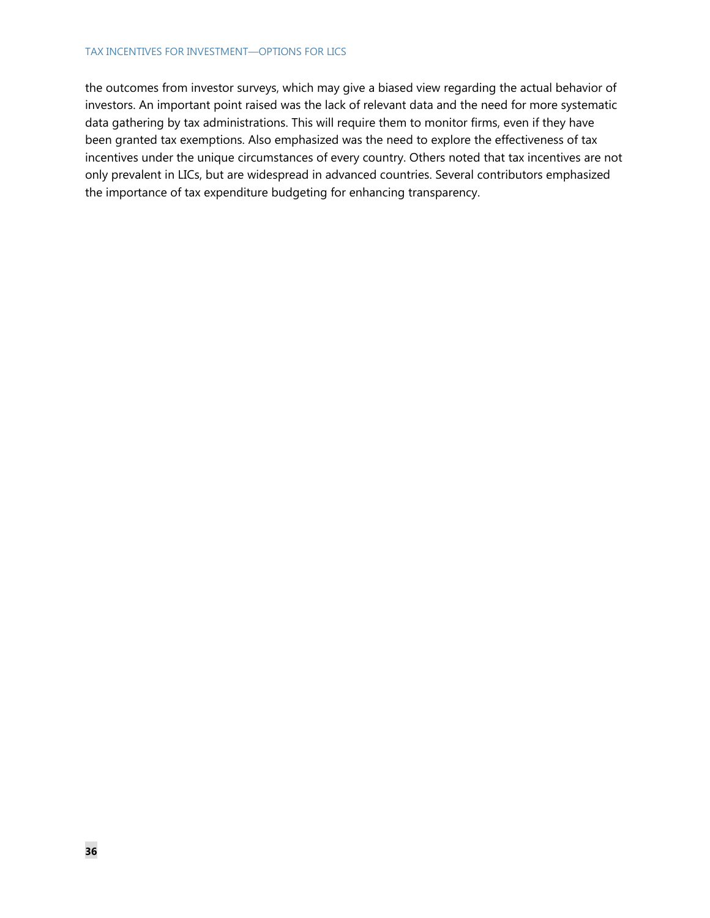### TAX INCENTIVES FOR INVESTMENT—OPTIONS FOR LICS

the outcomes from investor surveys, which may give a biased view regarding the actual behavior of investors. An important point raised was the lack of relevant data and the need for more systematic data gathering by tax administrations. This will require them to monitor firms, even if they have been granted tax exemptions. Also emphasized was the need to explore the effectiveness of tax incentives under the unique circumstances of every country. Others noted that tax incentives are not only prevalent in LICs, but are widespread in advanced countries. Several contributors emphasized the importance of tax expenditure budgeting for enhancing transparency.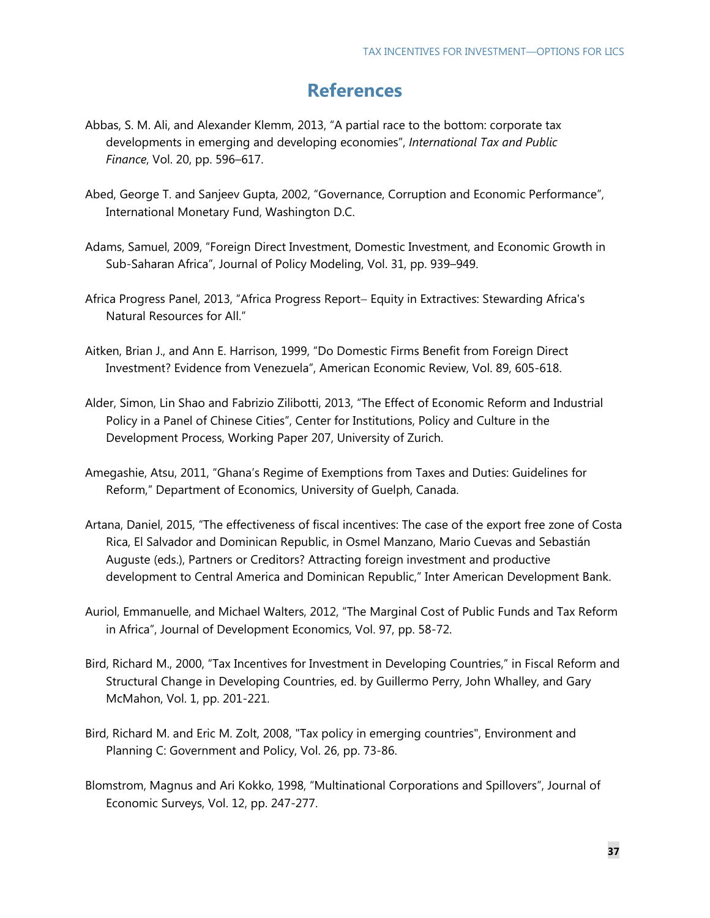## **References**

- Abbas, S. M. Ali, and Alexander Klemm, 2013, "A partial race to the bottom: corporate tax developments in emerging and developing economies", *International Tax and Public Finance*, Vol. 20, pp. 596–617.
- Abed, George T. and Sanjeev Gupta, 2002, "Governance, Corruption and Economic Performance", International Monetary Fund, Washington D.C.
- Adams, Samuel, 2009, "Foreign Direct Investment, Domestic Investment, and Economic Growth in Sub-Saharan Africa", Journal of Policy Modeling, Vol. 31, pp. 939–949.
- Africa Progress Panel, 2013, "Africa Progress Report- Equity in Extractives: Stewarding Africa's Natural Resources for All."
- Aitken, Brian J., and Ann E. Harrison, 1999, "Do Domestic Firms Benefit from Foreign Direct Investment? Evidence from Venezuela", American Economic Review, Vol. 89, 605-618.
- Alder, Simon, Lin Shao and Fabrizio Zilibotti, 2013, "The Effect of Economic Reform and Industrial Policy in a Panel of Chinese Cities", Center for Institutions, Policy and Culture in the Development Process, Working Paper 207, University of Zurich.
- Amegashie, Atsu, 2011, "Ghana's Regime of Exemptions from Taxes and Duties: Guidelines for Reform," Department of Economics, University of Guelph, Canada.
- Artana, Daniel, 2015, "The effectiveness of fiscal incentives: The case of the export free zone of Costa Rica, El Salvador and Dominican Republic, in Osmel Manzano, Mario Cuevas and Sebastián Auguste (eds.), Partners or Creditors? Attracting foreign investment and productive development to Central America and Dominican Republic," Inter American Development Bank.
- Auriol, Emmanuelle, and Michael Walters, 2012, "The Marginal Cost of Public Funds and Tax Reform in Africa", Journal of Development Economics, Vol. 97, pp. 58-72.
- Bird, Richard M., 2000, "Tax Incentives for Investment in Developing Countries," in Fiscal Reform and Structural Change in Developing Countries, ed. by Guillermo Perry, John Whalley, and Gary McMahon, Vol. 1, pp. 201-221.
- Bird, Richard M. and Eric M. Zolt, 2008, "Tax policy in emerging countries", Environment and Planning C: Government and Policy, Vol. 26, pp. 73-86.
- Blomstrom, Magnus and Ari Kokko, 1998, "Multinational Corporations and Spillovers", Journal of Economic Surveys, Vol. 12, pp. 247-277.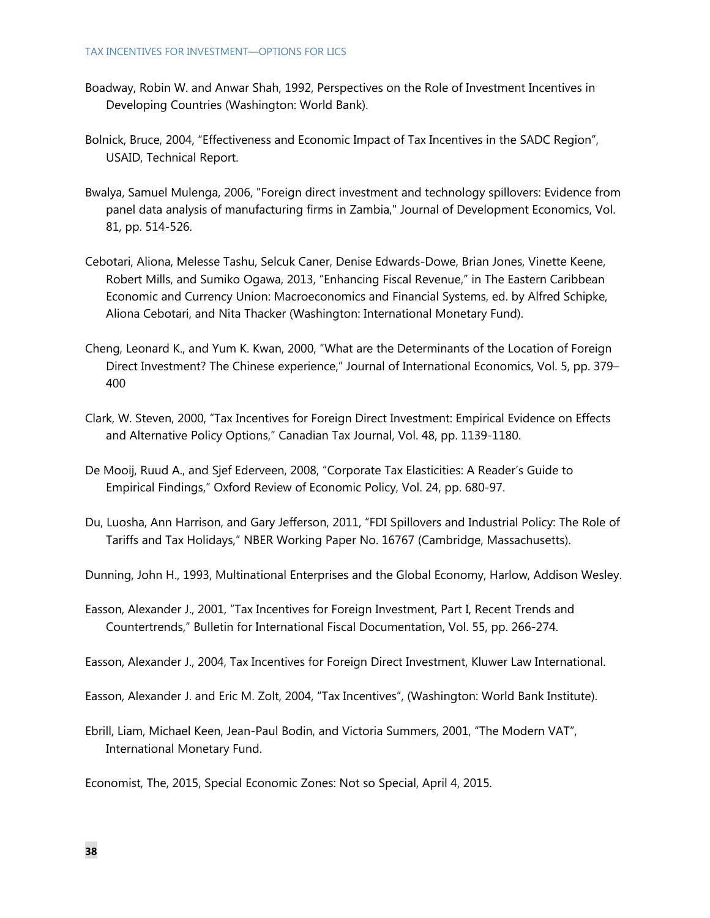#### TAX INCENTIVES FOR INVESTMENT—OPTIONS FOR LICS

- Boadway, Robin W. and Anwar Shah, 1992, Perspectives on the Role of Investment Incentives in Developing Countries (Washington: World Bank).
- Bolnick, Bruce, 2004, "Effectiveness and Economic Impact of Tax Incentives in the SADC Region", USAID, Technical Report.
- Bwalya, Samuel Mulenga, 2006, "Foreign direct investment and technology spillovers: Evidence from panel data analysis of manufacturing firms in Zambia," Journal of Development Economics, Vol. 81, pp. 514-526.
- Cebotari, Aliona, Melesse Tashu, Selcuk Caner, Denise Edwards-Dowe, Brian Jones, Vinette Keene, Robert Mills, and Sumiko Ogawa, 2013, "Enhancing Fiscal Revenue," in The Eastern Caribbean Economic and Currency Union: Macroeconomics and Financial Systems, ed. by Alfred Schipke, Aliona Cebotari, and Nita Thacker (Washington: International Monetary Fund).
- Cheng, Leonard K., and Yum K. Kwan, 2000, "What are the Determinants of the Location of Foreign Direct Investment? The Chinese experience," Journal of International Economics, Vol. 5, pp. 379– 400
- Clark, W. Steven, 2000, "Tax Incentives for Foreign Direct Investment: Empirical Evidence on Effects and Alternative Policy Options," Canadian Tax Journal, Vol. 48, pp. 1139-1180.
- De Mooij, Ruud A., and Sjef Ederveen, 2008, "Corporate Tax Elasticities: A Reader's Guide to Empirical Findings," Oxford Review of Economic Policy, Vol. 24, pp. 680-97.
- Du, Luosha, Ann Harrison, and Gary Jefferson, 2011, "FDI Spillovers and Industrial Policy: The Role of Tariffs and Tax Holidays," NBER Working Paper No. 16767 (Cambridge, Massachusetts).

Dunning, John H., 1993, Multinational Enterprises and the Global Economy, Harlow, Addison Wesley.

- Easson, Alexander J., 2001, "Tax Incentives for Foreign Investment, Part I, Recent Trends and Countertrends," Bulletin for International Fiscal Documentation, Vol. 55, pp. 266-274.
- Easson, Alexander J., 2004, Tax Incentives for Foreign Direct Investment, Kluwer Law International.
- Easson, Alexander J. and Eric M. Zolt, 2004, "Tax Incentives", (Washington: World Bank Institute).
- Ebrill, Liam, Michael Keen, Jean-Paul Bodin, and Victoria Summers, 2001, "The Modern VAT", International Monetary Fund.

Economist, The, 2015, Special Economic Zones: Not so Special, April 4, 2015.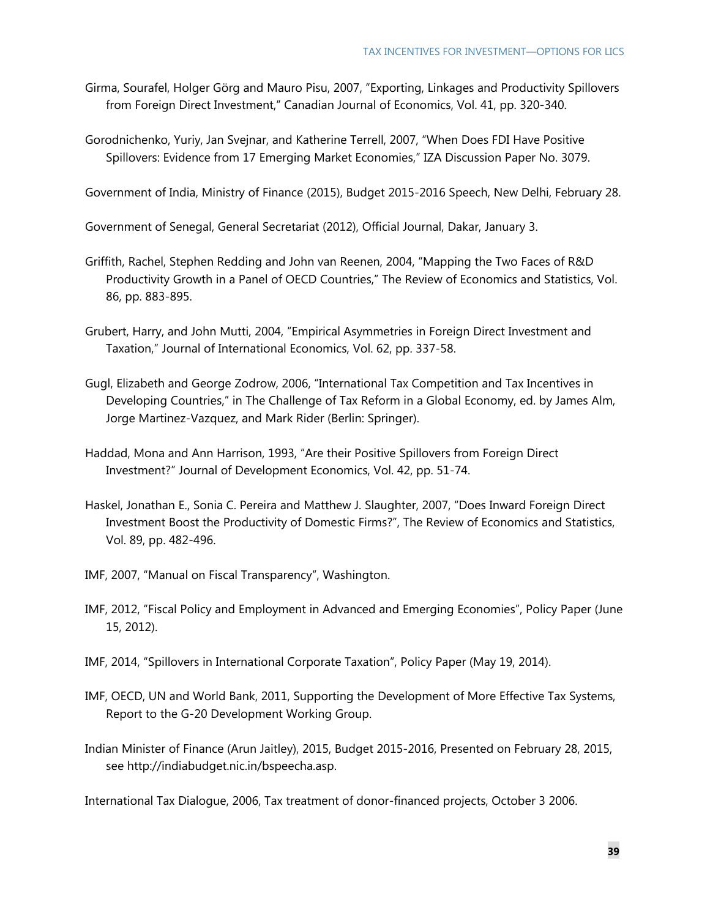Girma, Sourafel, Holger Görg and Mauro Pisu, 2007, "Exporting, Linkages and Productivity Spillovers from Foreign Direct Investment," Canadian Journal of Economics, Vol. 41, pp. 320-340.

Gorodnichenko, Yuriy, Jan Svejnar, and Katherine Terrell, 2007, "When Does FDI Have Positive Spillovers: Evidence from 17 Emerging Market Economies," IZA Discussion Paper No. 3079.

Government of India, Ministry of Finance (2015), Budget 2015-2016 Speech, New Delhi, February 28.

Government of Senegal, General Secretariat (2012), Official Journal, Dakar, January 3.

- Griffith, Rachel, Stephen Redding and John van Reenen, 2004, "Mapping the Two Faces of R&D Productivity Growth in a Panel of OECD Countries," The Review of Economics and Statistics, Vol. 86, pp. 883-895.
- Grubert, Harry, and John Mutti, 2004, "Empirical Asymmetries in Foreign Direct Investment and Taxation," Journal of International Economics, Vol. 62, pp. 337-58.
- Gugl, Elizabeth and George Zodrow, 2006, "International Tax Competition and Tax Incentives in Developing Countries," in The Challenge of Tax Reform in a Global Economy, ed. by James Alm, Jorge Martinez-Vazquez, and Mark Rider (Berlin: Springer).
- Haddad, Mona and Ann Harrison, 1993, "Are their Positive Spillovers from Foreign Direct Investment?" Journal of Development Economics, Vol. 42, pp. 51-74.
- Haskel, Jonathan E., Sonia C. Pereira and Matthew J. Slaughter, 2007, "Does Inward Foreign Direct Investment Boost the Productivity of Domestic Firms?", The Review of Economics and Statistics, Vol. 89, pp. 482-496.
- IMF, 2007, "Manual on Fiscal Transparency", Washington.
- IMF, 2012, "Fiscal Policy and Employment in Advanced and Emerging Economies", Policy Paper (June 15, 2012).
- IMF, 2014, "Spillovers in International Corporate Taxation", Policy Paper (May 19, 2014).
- IMF, OECD, UN and World Bank, 2011, Supporting the Development of More Effective Tax Systems, Report to the G-20 Development Working Group.
- Indian Minister of Finance (Arun Jaitley), 2015, Budget 2015-2016, Presented on February 28, 2015, see http://indiabudget.nic.in/bspeecha.asp.

International Tax Dialogue, 2006, Tax treatment of donor-financed projects, October 3 2006.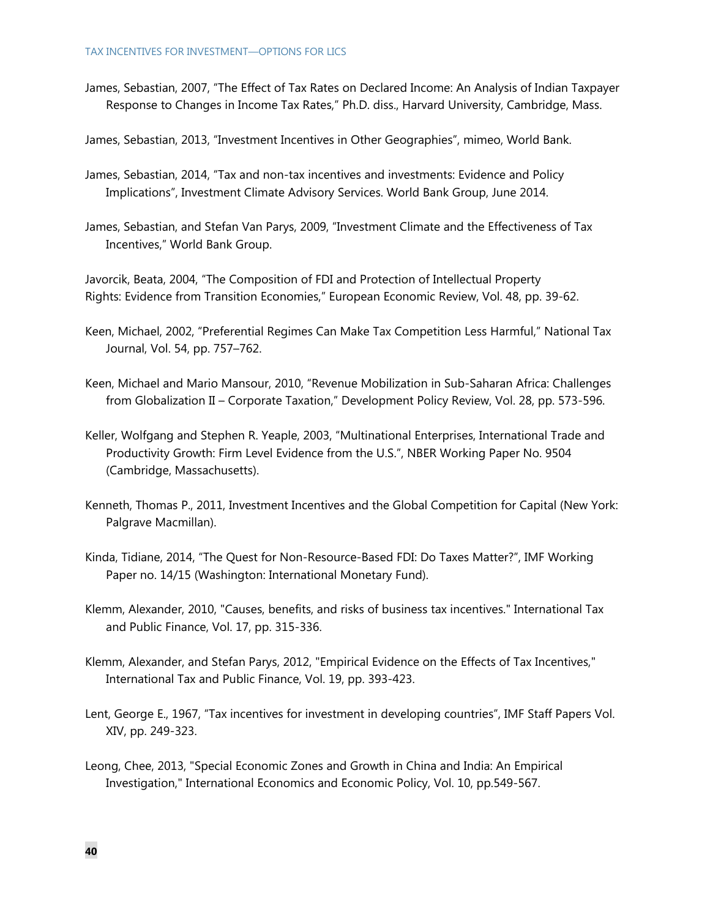James, Sebastian, 2007, "The Effect of Tax Rates on Declared Income: An Analysis of Indian Taxpayer Response to Changes in Income Tax Rates," Ph.D. diss., Harvard University, Cambridge, Mass.

James, Sebastian, 2013, "Investment Incentives in Other Geographies", mimeo, World Bank.

- James, Sebastian, 2014, "Tax and non-tax incentives and investments: Evidence and Policy Implications", Investment Climate Advisory Services. World Bank Group, June 2014.
- James, Sebastian, and Stefan Van Parys, 2009, "Investment Climate and the Effectiveness of Tax Incentives," World Bank Group.

Javorcik, Beata, 2004, "The Composition of FDI and Protection of Intellectual Property Rights: Evidence from Transition Economies," European Economic Review, Vol. 48, pp. 39-62.

- Keen, Michael, 2002, "Preferential Regimes Can Make Tax Competition Less Harmful," National Tax Journal, Vol. 54, pp. 757–762.
- Keen, Michael and Mario Mansour, 2010, "Revenue Mobilization in Sub-Saharan Africa: Challenges from Globalization II – Corporate Taxation," Development Policy Review, Vol. 28, pp. 573-596.
- Keller, Wolfgang and Stephen R. Yeaple, 2003, "Multinational Enterprises, International Trade and Productivity Growth: Firm Level Evidence from the U.S.", NBER Working Paper No. 9504 (Cambridge, Massachusetts).
- Kenneth, Thomas P., 2011, Investment Incentives and the Global Competition for Capital (New York: Palgrave Macmillan).
- Kinda, Tidiane, 2014, "The Quest for Non-Resource-Based FDI: Do Taxes Matter?", IMF Working Paper no. 14/15 (Washington: International Monetary Fund).
- Klemm, Alexander, 2010, "Causes, benefits, and risks of business tax incentives." International Tax and Public Finance, Vol. 17, pp. 315-336.
- Klemm, Alexander, and Stefan Parys, 2012, "Empirical Evidence on the Effects of Tax Incentives," International Tax and Public Finance, Vol. 19, pp. 393-423.
- Lent, George E., 1967, "Tax incentives for investment in developing countries", IMF Staff Papers Vol. XIV, pp. 249-323.
- Leong, Chee, 2013, "Special Economic Zones and Growth in China and India: An Empirical Investigation," International Economics and Economic Policy, Vol. 10, pp.549-567.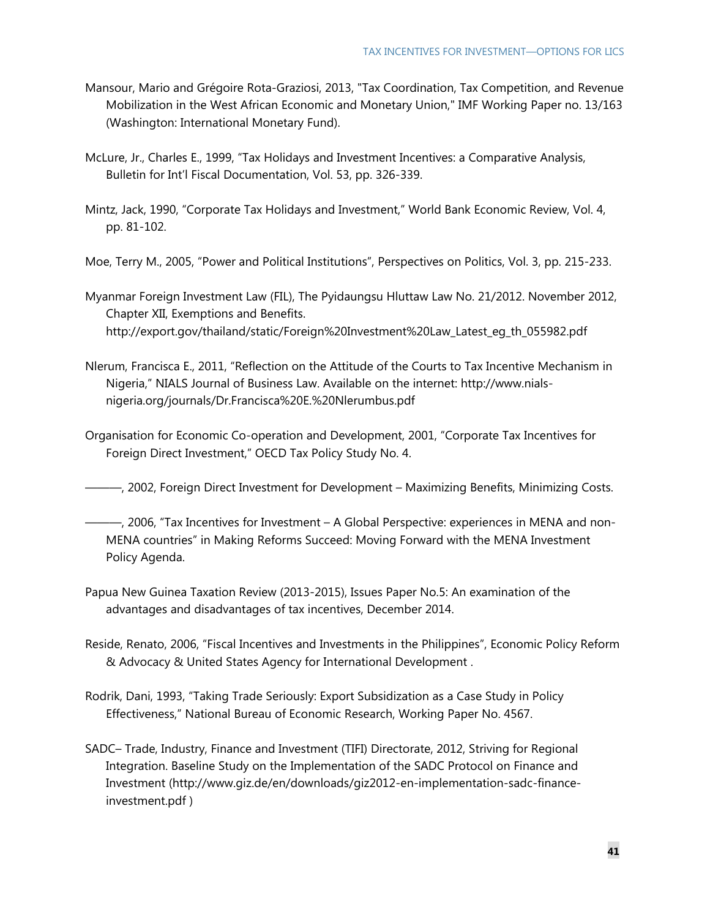- Mansour, Mario and Grégoire Rota-Graziosi, 2013, "Tax Coordination, Tax Competition, and Revenue Mobilization in the West African Economic and Monetary Union," IMF Working Paper no. 13/163 (Washington: International Monetary Fund).
- McLure, Jr., Charles E., 1999, "Tax Holidays and Investment Incentives: a Comparative Analysis, Bulletin for Int'l Fiscal Documentation, Vol. 53, pp. 326-339.
- Mintz, Jack, 1990, "Corporate Tax Holidays and Investment," World Bank Economic Review, Vol. 4, pp. 81-102.
- Moe, Terry M., 2005, "Power and Political Institutions", Perspectives on Politics, Vol. 3, pp. 215-233.
- Myanmar Foreign Investment Law (FIL), The Pyidaungsu Hluttaw Law No. 21/2012. November 2012, Chapter XII, Exemptions and Benefits. http://export.gov/thailand/static/Foreign%20Investment%20Law\_Latest\_eg\_th\_055982.pdf
- Nlerum, Francisca E., 2011, "Reflection on the Attitude of the Courts to Tax Incentive Mechanism in Nigeria," NIALS Journal of Business Law. Available on the internet: http://www.nialsnigeria.org/journals/Dr.Francisca%20E.%20Nlerumbus.pdf
- Organisation for Economic Co-operation and Development, 2001, "Corporate Tax Incentives for Foreign Direct Investment," OECD Tax Policy Study No. 4.
- ———, 2002, Foreign Direct Investment for Development Maximizing Benefits, Minimizing Costs.
- ———, 2006, "Tax Incentives for Investment A Global Perspective: experiences in MENA and non-MENA countries" in Making Reforms Succeed: Moving Forward with the MENA Investment Policy Agenda.
- Papua New Guinea Taxation Review (2013-2015), Issues Paper No.5: An examination of the advantages and disadvantages of tax incentives, December 2014.
- Reside, Renato, 2006, "Fiscal Incentives and Investments in the Philippines", Economic Policy Reform & Advocacy & United States Agency for International Development .
- Rodrik, Dani, 1993, "Taking Trade Seriously: Export Subsidization as a Case Study in Policy Effectiveness," National Bureau of Economic Research, Working Paper No. 4567.
- SADC– Trade, Industry, Finance and Investment (TIFI) Directorate, 2012, Striving for Regional Integration. Baseline Study on the Implementation of the SADC Protocol on Finance and Investment (http://www.giz.de/en/downloads/giz2012-en-implementation-sadc-financeinvestment.pdf )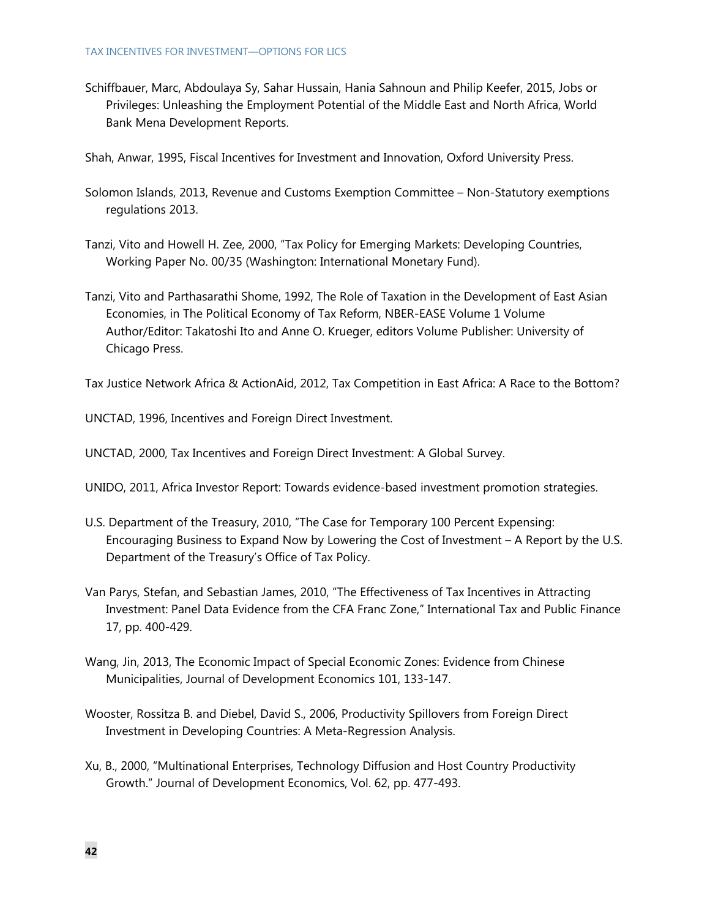Schiffbauer, Marc, Abdoulaya Sy, Sahar Hussain, Hania Sahnoun and Philip Keefer, 2015, Jobs or Privileges: Unleashing the Employment Potential of the Middle East and North Africa, World Bank Mena Development Reports.

Shah, Anwar, 1995, Fiscal Incentives for Investment and Innovation, Oxford University Press.

- Solomon Islands, 2013, Revenue and Customs Exemption Committee Non-Statutory exemptions regulations 2013.
- Tanzi, Vito and Howell H. Zee, 2000, "Tax Policy for Emerging Markets: Developing Countries, Working Paper No. 00/35 (Washington: International Monetary Fund).
- Tanzi, Vito and Parthasarathi Shome, 1992, The Role of Taxation in the Development of East Asian Economies, in The Political Economy of Tax Reform, NBER-EASE Volume 1 Volume Author/Editor: Takatoshi Ito and Anne O. Krueger, editors Volume Publisher: University of Chicago Press.

Tax Justice Network Africa & ActionAid, 2012, Tax Competition in East Africa: A Race to the Bottom?

UNCTAD, 1996, Incentives and Foreign Direct Investment.

UNCTAD, 2000, Tax Incentives and Foreign Direct Investment: A Global Survey.

UNIDO, 2011, Africa Investor Report: Towards evidence-based investment promotion strategies.

- U.S. Department of the Treasury, 2010, "The Case for Temporary 100 Percent Expensing: Encouraging Business to Expand Now by Lowering the Cost of Investment – A Report by the U.S. Department of the Treasury's Office of Tax Policy.
- Van Parys, Stefan, and Sebastian James, 2010, "The Effectiveness of Tax Incentives in Attracting Investment: Panel Data Evidence from the CFA Franc Zone," International Tax and Public Finance 17, pp. 400-429.
- Wang, Jin, 2013, The Economic Impact of Special Economic Zones: Evidence from Chinese Municipalities, Journal of Development Economics 101, 133-147.
- Wooster, Rossitza B. and Diebel, David S., 2006, Productivity Spillovers from Foreign Direct Investment in Developing Countries: A Meta-Regression Analysis.
- Xu, B., 2000, "Multinational Enterprises, Technology Diffusion and Host Country Productivity Growth." Journal of Development Economics, Vol. 62, pp. 477-493.